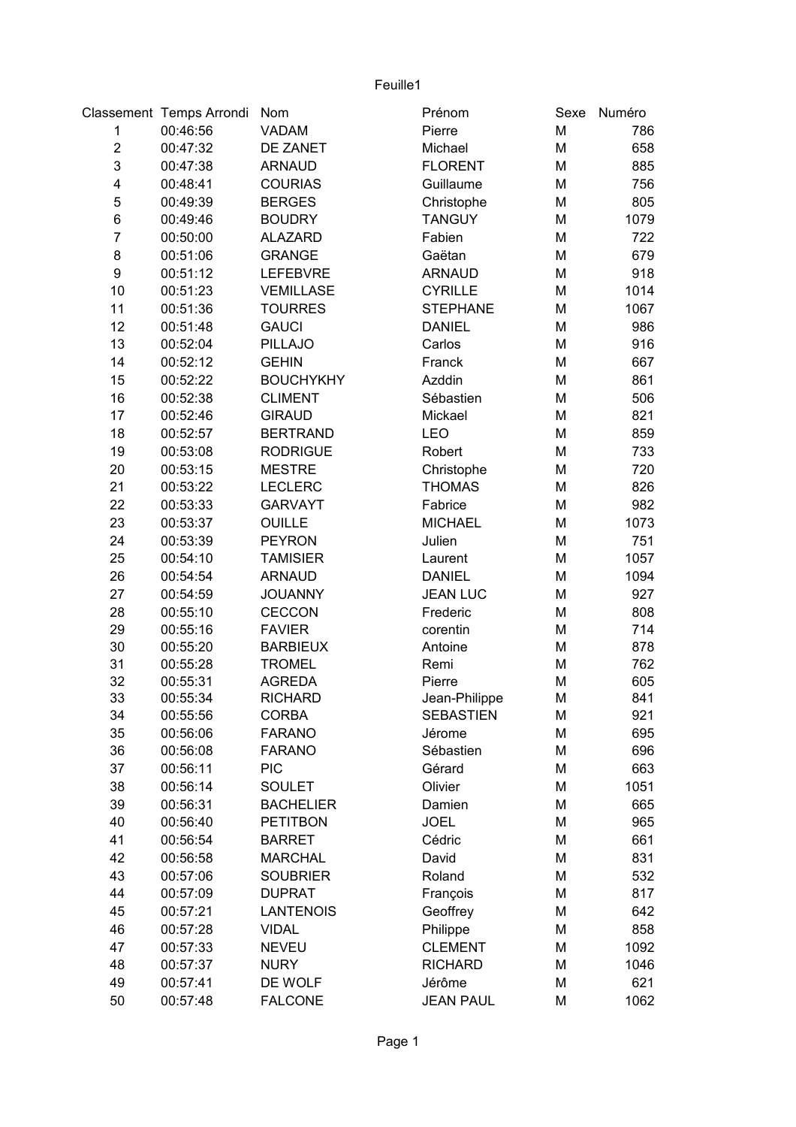|                         | Classement Temps Arrondi | Nom                               | Prénom                  | Sexe   | Numéro      |
|-------------------------|--------------------------|-----------------------------------|-------------------------|--------|-------------|
| $\mathbf{1}$            | 00:46:56                 | <b>VADAM</b>                      | Pierre                  | M      | 786         |
| $\overline{c}$          | 00:47:32                 | DE ZANET                          | Michael                 | M      | 658         |
| 3                       | 00:47:38                 | <b>ARNAUD</b>                     | <b>FLORENT</b>          | M      | 885         |
| $\overline{\mathbf{4}}$ | 00:48:41                 | <b>COURIAS</b>                    | Guillaume               | M      | 756         |
| $\sqrt{5}$              | 00:49:39                 | <b>BERGES</b>                     | Christophe              | M      | 805         |
| 6                       | 00:49:46                 | <b>BOUDRY</b>                     | <b>TANGUY</b>           | M      | 1079        |
| $\overline{7}$          | 00:50:00                 | <b>ALAZARD</b>                    | Fabien                  | M      | 722         |
| 8                       | 00:51:06                 | <b>GRANGE</b>                     | Gaëtan                  | M      | 679         |
| 9                       | 00:51:12                 | <b>LEFEBVRE</b>                   | <b>ARNAUD</b>           | M      | 918         |
| 10                      | 00:51:23                 | <b>VEMILLASE</b>                  | <b>CYRILLE</b>          | M      | 1014        |
| 11                      | 00:51:36                 | <b>TOURRES</b>                    | <b>STEPHANE</b>         | M      | 1067        |
| 12                      | 00:51:48                 | <b>GAUCI</b>                      | <b>DANIEL</b>           | M      | 986         |
| 13                      | 00:52:04                 | <b>PILLAJO</b>                    | Carlos                  | M      | 916         |
| 14                      | 00:52:12                 | <b>GEHIN</b>                      | Franck                  | M      | 667         |
| 15                      | 00:52:22                 | <b>BOUCHYKHY</b>                  | Azddin                  | M      | 861         |
| 16                      | 00:52:38                 | <b>CLIMENT</b>                    | Sébastien               | M      | 506         |
| 17                      | 00:52:46                 | <b>GIRAUD</b>                     | Mickael                 | M      | 821         |
| 18                      | 00:52:57                 | <b>BERTRAND</b>                   | <b>LEO</b>              | M      | 859         |
| 19                      | 00:53:08                 | <b>RODRIGUE</b>                   | Robert                  | M      | 733         |
| 20                      | 00:53:15                 | <b>MESTRE</b>                     | Christophe              | M      | 720         |
| 21                      | 00:53:22                 | <b>LECLERC</b>                    | <b>THOMAS</b>           | M      | 826         |
| 22                      | 00:53:33                 | <b>GARVAYT</b>                    | Fabrice                 | M      | 982         |
| 23                      | 00:53:37                 | <b>OUILLE</b>                     | <b>MICHAEL</b>          | M      | 1073        |
|                         | 00:53:39                 | <b>PEYRON</b>                     |                         |        | 751         |
| 24                      |                          |                                   | Julien                  | M      |             |
| 25                      | 00:54:10                 | <b>TAMISIER</b>                   | Laurent                 | M      | 1057        |
| 26                      | 00:54:54                 | <b>ARNAUD</b>                     | <b>DANIEL</b>           | M      | 1094        |
| 27                      | 00:54:59                 | <b>JOUANNY</b>                    | <b>JEAN LUC</b>         | M      | 927         |
| 28                      | 00:55:10                 | <b>CECCON</b>                     | Frederic                | M      | 808         |
| 29                      | 00:55:16                 | <b>FAVIER</b>                     | corentin                | M      | 714         |
| 30                      | 00:55:20                 | <b>BARBIEUX</b>                   | Antoine                 | M      | 878         |
| 31                      | 00:55:28                 | <b>TROMEL</b>                     | Remi                    | M      | 762<br>605  |
| 32<br>33                | 00:55:31<br>00:55:34     | <b>AGREDA</b><br><b>RICHARD</b>   | Pierre<br>Jean-Philippe | M<br>M | 841         |
| 34                      | 00:55:56                 | <b>CORBA</b>                      | <b>SEBASTIEN</b>        | M      | 921         |
| 35                      | 00:56:06                 | <b>FARANO</b>                     | Jérome                  | M      | 695         |
| 36                      | 00:56:08                 | <b>FARANO</b>                     | Sébastien               | M      | 696         |
| 37                      | 00:56:11                 | <b>PIC</b>                        | Gérard                  | M      | 663         |
| 38                      |                          |                                   |                         | M      |             |
| 39                      | 00:56:14                 | <b>SOULET</b><br><b>BACHELIER</b> | Olivier<br>Damien       | M      | 1051<br>665 |
| 40                      | 00:56:31                 | <b>PETITBON</b>                   |                         | M      | 965         |
| 41                      | 00:56:40                 |                                   | <b>JOEL</b>             |        |             |
|                         | 00:56:54                 | <b>BARRET</b>                     | Cédric                  | M      | 661         |
| 42                      | 00:56:58                 | <b>MARCHAL</b>                    | David                   | M      | 831         |
| 43                      | 00:57:06                 | <b>SOUBRIER</b>                   | Roland                  | M      | 532         |
| 44                      | 00:57:09                 | <b>DUPRAT</b>                     | François                | M      | 817         |
| 45                      | 00:57:21                 | <b>LANTENOIS</b>                  | Geoffrey                | M      | 642         |
| 46                      | 00:57:28                 | <b>VIDAL</b>                      | Philippe                | M      | 858         |
| 47                      | 00:57:33                 | <b>NEVEU</b>                      | <b>CLEMENT</b>          | M      | 1092        |
| 48                      | 00:57:37                 | <b>NURY</b>                       | <b>RICHARD</b>          | M      | 1046        |
| 49                      | 00:57:41                 | DE WOLF                           | Jérôme                  | M      | 621         |
| 50                      | 00:57:48                 | <b>FALCONE</b>                    | <b>JEAN PAUL</b>        | M      | 1062        |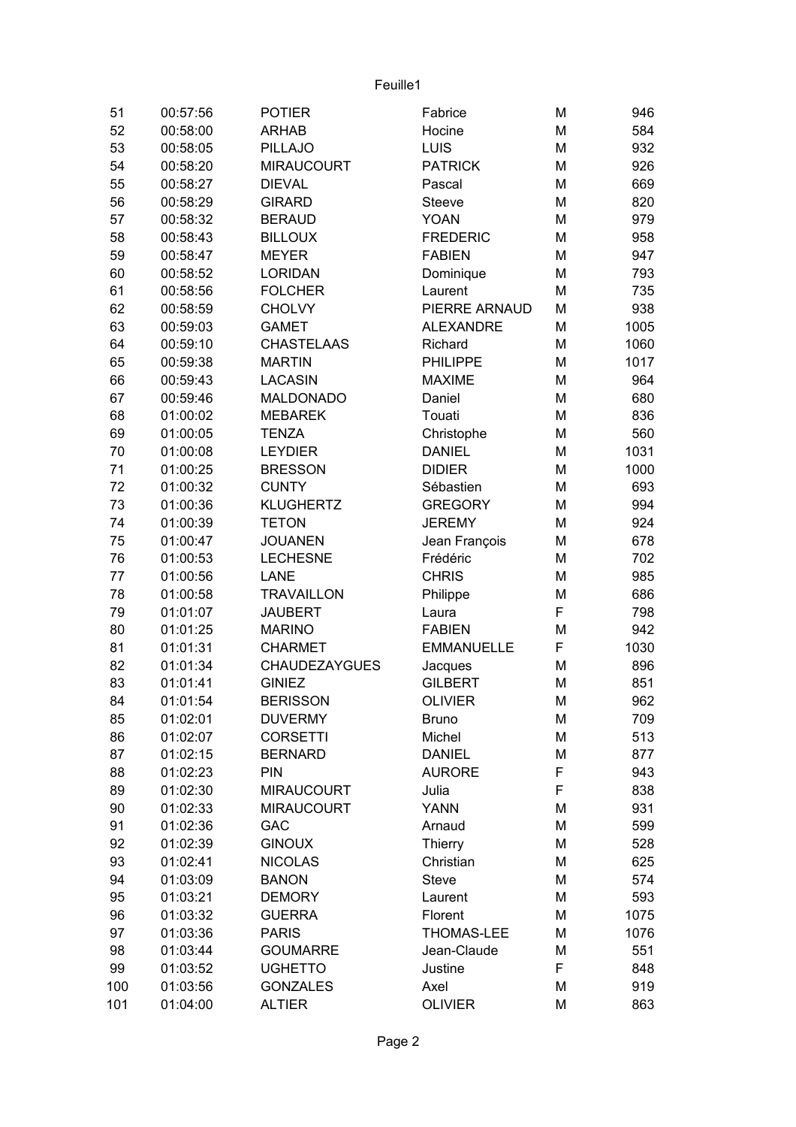| 51  | 00:57:56 | <b>POTIER</b>        | Fabrice           | M | 946  |
|-----|----------|----------------------|-------------------|---|------|
| 52  | 00:58:00 | <b>ARHAB</b>         | Hocine            | M | 584  |
| 53  | 00:58:05 | <b>PILLAJO</b>       | LUIS              | M | 932  |
| 54  | 00:58:20 | <b>MIRAUCOURT</b>    | <b>PATRICK</b>    | M | 926  |
| 55  | 00:58:27 | <b>DIEVAL</b>        | Pascal            | M | 669  |
| 56  | 00:58:29 | <b>GIRARD</b>        | Steeve            | M | 820  |
| 57  | 00:58:32 | <b>BERAUD</b>        | <b>YOAN</b>       | M | 979  |
| 58  | 00:58:43 | <b>BILLOUX</b>       | <b>FREDERIC</b>   | M | 958  |
| 59  | 00:58:47 | <b>MEYER</b>         | <b>FABIEN</b>     | M | 947  |
| 60  | 00:58:52 | <b>LORIDAN</b>       | Dominique         | M | 793  |
| 61  | 00:58:56 | <b>FOLCHER</b>       | Laurent           | M | 735  |
| 62  | 00:58:59 | <b>CHOLVY</b>        | PIERRE ARNAUD     | M | 938  |
| 63  | 00:59:03 | <b>GAMET</b>         | <b>ALEXANDRE</b>  | M | 1005 |
| 64  | 00:59:10 | <b>CHASTELAAS</b>    | Richard           | M | 1060 |
| 65  | 00:59:38 | <b>MARTIN</b>        | <b>PHILIPPE</b>   | M | 1017 |
| 66  | 00:59:43 | <b>LACASIN</b>       | <b>MAXIME</b>     | M | 964  |
| 67  | 00:59:46 | <b>MALDONADO</b>     | Daniel            | M | 680  |
| 68  | 01:00:02 | <b>MEBAREK</b>       | Touati            | M | 836  |
| 69  | 01:00:05 | <b>TENZA</b>         | Christophe        | M | 560  |
| 70  | 01:00:08 | <b>LEYDIER</b>       | <b>DANIEL</b>     | M | 1031 |
| 71  | 01:00:25 | <b>BRESSON</b>       | <b>DIDIER</b>     | M | 1000 |
| 72  | 01:00:32 | <b>CUNTY</b>         | Sébastien         | M | 693  |
| 73  | 01:00:36 | <b>KLUGHERTZ</b>     | <b>GREGORY</b>    | M | 994  |
| 74  | 01:00:39 | <b>TETON</b>         | <b>JEREMY</b>     | M | 924  |
| 75  | 01:00:47 | <b>JOUANEN</b>       | Jean François     | M | 678  |
| 76  | 01:00:53 | <b>LECHESNE</b>      | Frédéric          | M | 702  |
| 77  | 01:00:56 | <b>LANE</b>          | <b>CHRIS</b>      | M | 985  |
| 78  | 01:00:58 | <b>TRAVAILLON</b>    | Philippe          | M | 686  |
| 79  | 01:01:07 | <b>JAUBERT</b>       | Laura             | F | 798  |
| 80  | 01:01:25 | <b>MARINO</b>        | <b>FABIEN</b>     | M | 942  |
| 81  | 01:01:31 | <b>CHARMET</b>       | <b>EMMANUELLE</b> | F | 1030 |
| 82  | 01:01:34 | <b>CHAUDEZAYGUES</b> | Jacques           | M | 896  |
| 83  | 01:01:41 | <b>GINIEZ</b>        | <b>GILBERT</b>    | M | 851  |
| 84  | 01:01:54 | <b>BERISSON</b>      | <b>OLIVIER</b>    | M | 962  |
| 85  | 01:02:01 | <b>DUVERMY</b>       | Bruno             | M | 709  |
| 86  | 01:02:07 | <b>CORSETTI</b>      | Michel            | M | 513  |
| 87  | 01:02:15 | <b>BERNARD</b>       | <b>DANIEL</b>     | M | 877  |
| 88  | 01:02:23 | <b>PIN</b>           | <b>AURORE</b>     | F | 943  |
| 89  | 01:02:30 | <b>MIRAUCOURT</b>    | Julia             | F | 838  |
| 90  | 01:02:33 | <b>MIRAUCOURT</b>    | <b>YANN</b>       | M | 931  |
| 91  | 01:02:36 | <b>GAC</b>           | Arnaud            | M | 599  |
| 92  | 01:02:39 | <b>GINOUX</b>        | Thierry           | M | 528  |
| 93  | 01:02:41 | <b>NICOLAS</b>       | Christian         | M | 625  |
| 94  | 01:03:09 | <b>BANON</b>         | <b>Steve</b>      | M | 574  |
| 95  | 01:03:21 | <b>DEMORY</b>        | Laurent           | M | 593  |
| 96  | 01:03:32 | <b>GUERRA</b>        | Florent           | M | 1075 |
| 97  | 01:03:36 | <b>PARIS</b>         | <b>THOMAS-LEE</b> | M | 1076 |
| 98  | 01:03:44 | <b>GOUMARRE</b>      | Jean-Claude       | M | 551  |
| 99  | 01:03:52 | <b>UGHETTO</b>       | Justine           | F | 848  |
| 100 | 01:03:56 | <b>GONZALES</b>      | Axel              | M | 919  |
| 101 | 01:04:00 | <b>ALTIER</b>        | <b>OLIVIER</b>    | M | 863  |
|     |          |                      |                   |   |      |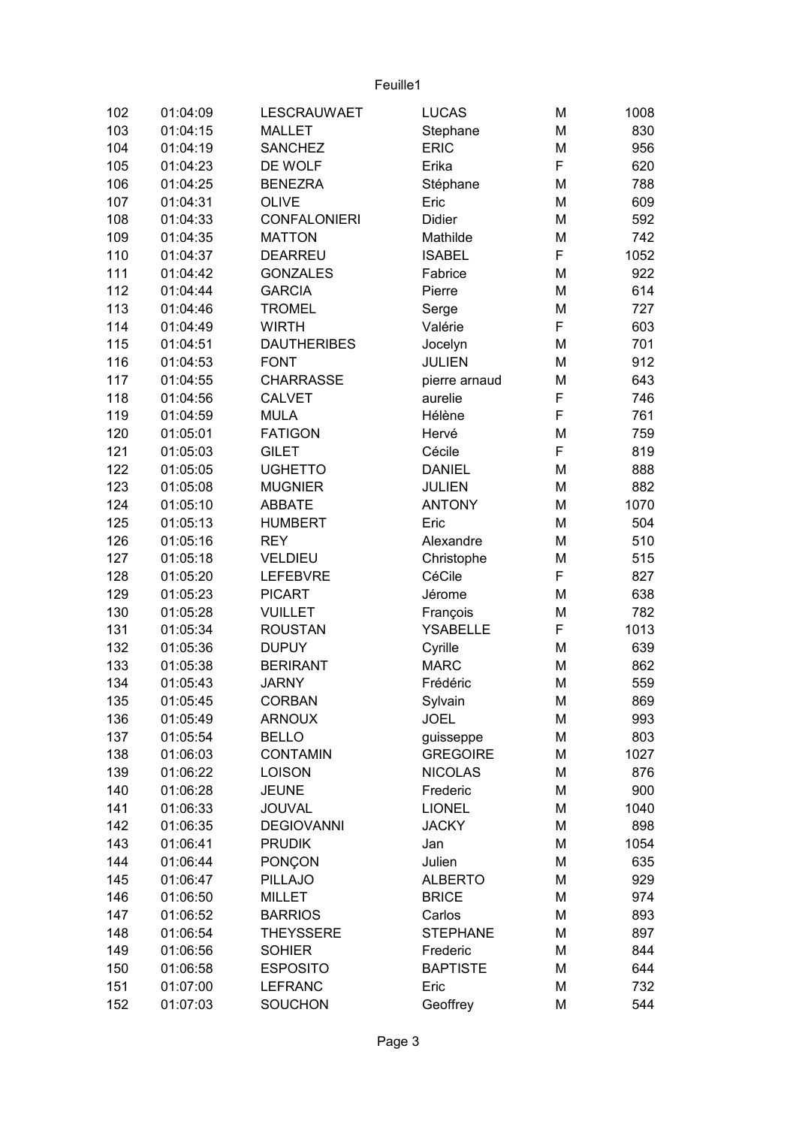| 102 | 01:04:09 | LESCRAUWAET         | <b>LUCAS</b>    | M | 1008 |
|-----|----------|---------------------|-----------------|---|------|
| 103 | 01:04:15 | <b>MALLET</b>       | Stephane        | M | 830  |
| 104 | 01:04:19 | <b>SANCHEZ</b>      | <b>ERIC</b>     | M | 956  |
| 105 | 01:04:23 | DE WOLF             | Erika           | F | 620  |
| 106 | 01:04:25 | <b>BENEZRA</b>      | Stéphane        | M | 788  |
| 107 | 01:04:31 | <b>OLIVE</b>        | Eric            | M | 609  |
| 108 | 01:04:33 | <b>CONFALONIERI</b> | Didier          | M | 592  |
| 109 | 01:04:35 | <b>MATTON</b>       | Mathilde        | M | 742  |
| 110 | 01:04:37 | DEARREU             | <b>ISABEL</b>   | F | 1052 |
| 111 | 01:04:42 | <b>GONZALES</b>     | Fabrice         | M | 922  |
| 112 | 01:04:44 | <b>GARCIA</b>       | Pierre          | M | 614  |
| 113 | 01:04:46 | <b>TROMEL</b>       | Serge           | M | 727  |
| 114 | 01:04:49 | <b>WIRTH</b>        | Valérie         | F | 603  |
| 115 | 01:04:51 | <b>DAUTHERIBES</b>  | Jocelyn         | M | 701  |
| 116 | 01:04:53 | <b>FONT</b>         | <b>JULIEN</b>   | M | 912  |
| 117 | 01:04:55 | <b>CHARRASSE</b>    | pierre arnaud   | M | 643  |
| 118 | 01:04:56 | <b>CALVET</b>       | aurelie         | F | 746  |
| 119 | 01:04:59 | <b>MULA</b>         | Hélène          | F | 761  |
| 120 | 01:05:01 | <b>FATIGON</b>      | Hervé           | M | 759  |
| 121 | 01:05:03 | <b>GILET</b>        | Cécile          | F | 819  |
| 122 | 01:05:05 | <b>UGHETTO</b>      | <b>DANIEL</b>   | M | 888  |
| 123 | 01:05:08 | <b>MUGNIER</b>      | <b>JULIEN</b>   | M | 882  |
| 124 | 01:05:10 | <b>ABBATE</b>       | <b>ANTONY</b>   | M | 1070 |
| 125 | 01:05:13 | <b>HUMBERT</b>      | Eric            | M | 504  |
| 126 | 01:05:16 | <b>REY</b>          | Alexandre       | M | 510  |
| 127 | 01:05:18 | <b>VELDIEU</b>      | Christophe      | M | 515  |
| 128 | 01:05:20 | <b>LEFEBVRE</b>     | CéCile          | F | 827  |
| 129 | 01:05:23 | <b>PICART</b>       | Jérome          | M | 638  |
| 130 | 01:05:28 | <b>VUILLET</b>      | François        | M | 782  |
| 131 | 01:05:34 | <b>ROUSTAN</b>      | <b>YSABELLE</b> | F | 1013 |
| 132 | 01:05:36 | <b>DUPUY</b>        | Cyrille         | M | 639  |
| 133 | 01:05:38 | <b>BERIRANT</b>     | <b>MARC</b>     | M | 862  |
| 134 | 01:05:43 | <b>JARNY</b>        | Frédéric        | M | 559  |
| 135 | 01:05:45 | <b>CORBAN</b>       | Sylvain         | M | 869  |
| 136 | 01:05:49 | <b>ARNOUX</b>       | <b>JOEL</b>     | Μ | 993  |
| 137 | 01:05:54 | <b>BELLO</b>        | guisseppe       | M | 803  |
| 138 | 01:06:03 | <b>CONTAMIN</b>     | <b>GREGOIRE</b> | M | 1027 |
| 139 | 01:06:22 | <b>LOISON</b>       | <b>NICOLAS</b>  | M | 876  |
| 140 | 01:06:28 | <b>JEUNE</b>        | Frederic        | M | 900  |
| 141 | 01:06:33 | <b>JOUVAL</b>       | <b>LIONEL</b>   | M | 1040 |
| 142 | 01:06:35 | <b>DEGIOVANNI</b>   | <b>JACKY</b>    | M | 898  |
| 143 | 01:06:41 | <b>PRUDIK</b>       | Jan             | M | 1054 |
| 144 | 01:06:44 | PONÇON              | Julien          | M | 635  |
| 145 | 01:06:47 | <b>PILLAJO</b>      | <b>ALBERTO</b>  | M | 929  |
| 146 | 01:06:50 | <b>MILLET</b>       | <b>BRICE</b>    | M | 974  |
| 147 | 01:06:52 | <b>BARRIOS</b>      | Carlos          | M | 893  |
| 148 | 01:06:54 | <b>THEYSSERE</b>    | <b>STEPHANE</b> | M | 897  |
| 149 | 01:06:56 | <b>SOHIER</b>       | Frederic        | M | 844  |
| 150 | 01:06:58 | <b>ESPOSITO</b>     | <b>BAPTISTE</b> | M | 644  |
| 151 | 01:07:00 | <b>LEFRANC</b>      | Eric            | M | 732  |
| 152 | 01:07:03 | <b>SOUCHON</b>      | Geoffrey        | M | 544  |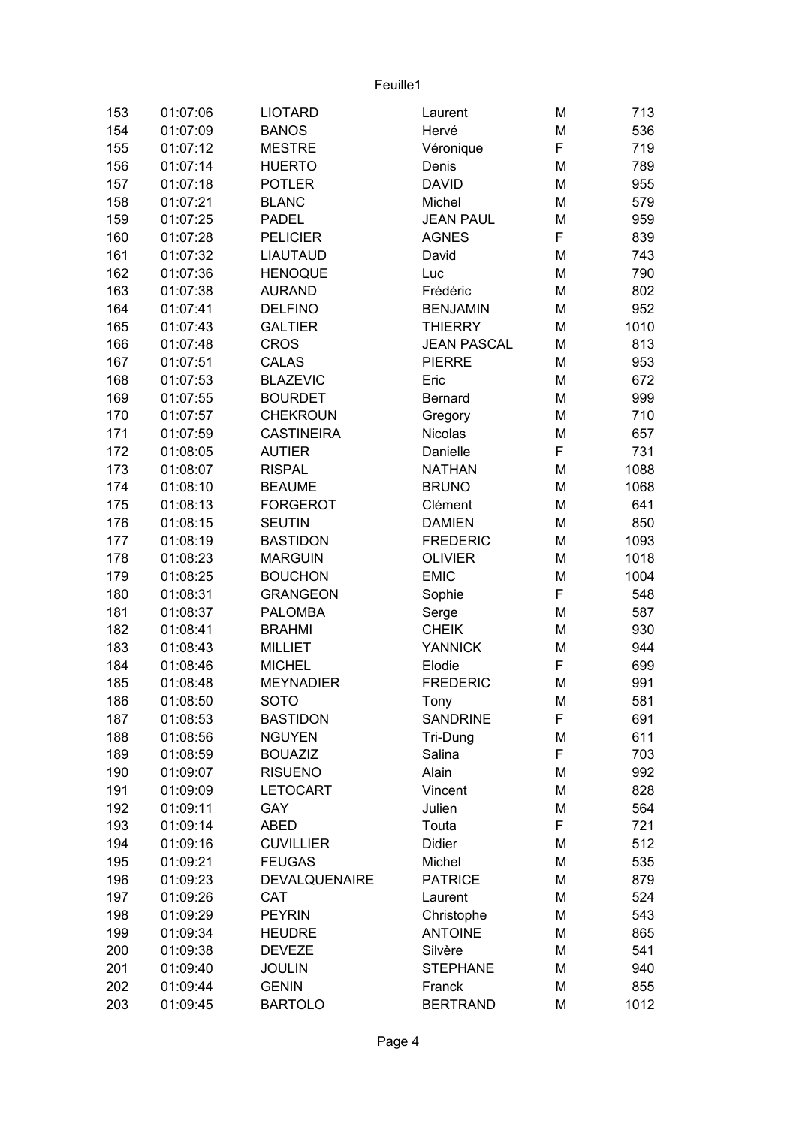| 153 | 01:07:06 | <b>LIOTARD</b>    | Laurent            | M | 713  |
|-----|----------|-------------------|--------------------|---|------|
| 154 | 01:07:09 | <b>BANOS</b>      | Hervé              | M | 536  |
| 155 | 01:07:12 | <b>MESTRE</b>     | Véronique          | F | 719  |
| 156 | 01:07:14 | <b>HUERTO</b>     | Denis              | M | 789  |
| 157 | 01:07:18 | <b>POTLER</b>     | <b>DAVID</b>       | M | 955  |
| 158 | 01:07:21 | <b>BLANC</b>      | Michel             | M | 579  |
| 159 | 01:07:25 | <b>PADEL</b>      | <b>JEAN PAUL</b>   | M | 959  |
| 160 | 01:07:28 | <b>PELICIER</b>   | <b>AGNES</b>       | F | 839  |
| 161 | 01:07:32 | <b>LIAUTAUD</b>   | David              | M | 743  |
| 162 | 01:07:36 | <b>HENOQUE</b>    | Luc                | M | 790  |
| 163 | 01:07:38 | <b>AURAND</b>     | Frédéric           | M | 802  |
| 164 | 01:07:41 | <b>DELFINO</b>    | <b>BENJAMIN</b>    | M | 952  |
| 165 | 01:07:43 | <b>GALTIER</b>    | <b>THIERRY</b>     | M | 1010 |
| 166 | 01:07:48 | <b>CROS</b>       | <b>JEAN PASCAL</b> | M | 813  |
| 167 | 01:07:51 | <b>CALAS</b>      | <b>PIERRE</b>      | M | 953  |
| 168 | 01:07:53 | <b>BLAZEVIC</b>   | Eric               | M | 672  |
| 169 | 01:07:55 | <b>BOURDET</b>    | <b>Bernard</b>     | M | 999  |
| 170 | 01:07:57 | <b>CHEKROUN</b>   | Gregory            | M | 710  |
| 171 | 01:07:59 | <b>CASTINEIRA</b> | Nicolas            | M | 657  |
| 172 | 01:08:05 | <b>AUTIER</b>     | Danielle           | F | 731  |
| 173 | 01:08:07 | <b>RISPAL</b>     | <b>NATHAN</b>      | M | 1088 |
| 174 | 01:08:10 | <b>BEAUME</b>     | <b>BRUNO</b>       | M | 1068 |
| 175 | 01:08:13 | <b>FORGEROT</b>   | Clément            | M | 641  |
| 176 | 01:08:15 | <b>SEUTIN</b>     | <b>DAMIEN</b>      | M | 850  |
| 177 | 01:08:19 | <b>BASTIDON</b>   | <b>FREDERIC</b>    | M | 1093 |
| 178 | 01:08:23 | <b>MARGUIN</b>    | <b>OLIVIER</b>     | M | 1018 |
| 179 | 01:08:25 | <b>BOUCHON</b>    | <b>EMIC</b>        | M | 1004 |
| 180 | 01:08:31 | <b>GRANGEON</b>   | Sophie             | F | 548  |
| 181 | 01:08:37 | <b>PALOMBA</b>    | Serge              | M | 587  |
| 182 | 01:08:41 | <b>BRAHMI</b>     | <b>CHEIK</b>       | M | 930  |
| 183 | 01:08:43 | <b>MILLIET</b>    | <b>YANNICK</b>     | M | 944  |
| 184 | 01:08:46 | <b>MICHEL</b>     | Elodie             | F | 699  |
| 185 | 01:08:48 | <b>MEYNADIER</b>  | <b>FREDERIC</b>    | M | 991  |
| 186 | 01:08:50 | <b>SOTO</b>       | Tony               | M | 581  |
| 187 | 01:08:53 | <b>BASTIDON</b>   | <b>SANDRINE</b>    | F | 691  |
| 188 | 01:08:56 | <b>NGUYEN</b>     | Tri-Dung           | M | 611  |
| 189 | 01:08:59 | <b>BOUAZIZ</b>    | Salina             | F | 703  |
| 190 | 01:09:07 | <b>RISUENO</b>    | Alain              | M | 992  |
| 191 | 01:09:09 | <b>LETOCART</b>   | Vincent            | M | 828  |
| 192 | 01:09:11 | <b>GAY</b>        | Julien             | M | 564  |
| 193 | 01:09:14 | ABED              | Touta              | F | 721  |
| 194 | 01:09:16 | <b>CUVILLIER</b>  | <b>Didier</b>      | M | 512  |
| 195 | 01:09:21 | <b>FEUGAS</b>     | Michel             | M | 535  |
| 196 | 01:09:23 | DEVALQUENAIRE     | <b>PATRICE</b>     | M | 879  |
| 197 | 01:09:26 | <b>CAT</b>        | Laurent            | M | 524  |
| 198 | 01:09:29 | <b>PEYRIN</b>     | Christophe         | M | 543  |
| 199 | 01:09:34 | <b>HEUDRE</b>     | <b>ANTOINE</b>     | M | 865  |
| 200 | 01:09:38 | <b>DEVEZE</b>     | Silvère            | M | 541  |
| 201 | 01:09:40 | <b>JOULIN</b>     | <b>STEPHANE</b>    | M | 940  |
| 202 | 01:09:44 | <b>GENIN</b>      | Franck             | M | 855  |
| 203 | 01:09:45 | <b>BARTOLO</b>    | <b>BERTRAND</b>    | М | 1012 |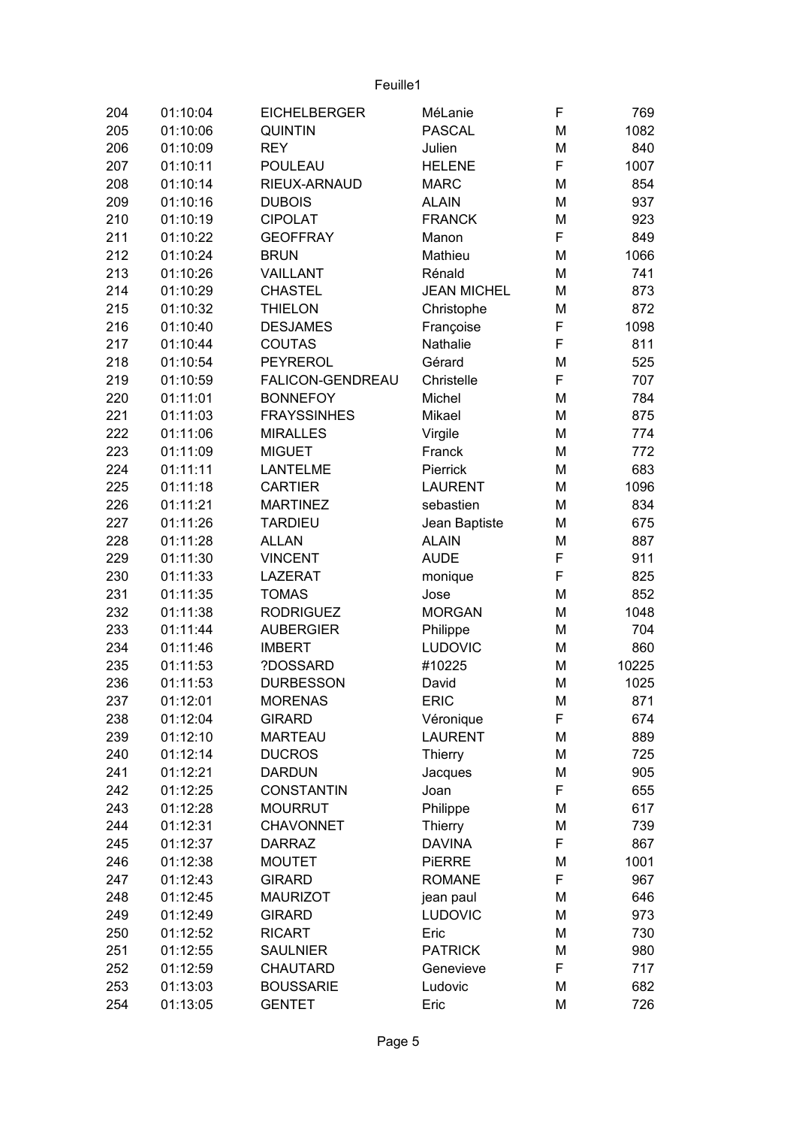| 204 | 01:10:04 | <b>EICHELBERGER</b> | MéLanie            | F | 769   |
|-----|----------|---------------------|--------------------|---|-------|
| 205 | 01:10:06 | <b>QUINTIN</b>      | <b>PASCAL</b>      | M | 1082  |
| 206 | 01:10:09 | <b>REY</b>          | Julien             | M | 840   |
| 207 | 01:10:11 | POULEAU             | <b>HELENE</b>      | F | 1007  |
| 208 | 01:10:14 | RIEUX-ARNAUD        | <b>MARC</b>        | M | 854   |
| 209 | 01:10:16 | <b>DUBOIS</b>       | <b>ALAIN</b>       | M | 937   |
| 210 | 01:10:19 | <b>CIPOLAT</b>      | <b>FRANCK</b>      | M | 923   |
| 211 | 01:10:22 | <b>GEOFFRAY</b>     | Manon              | F | 849   |
| 212 | 01:10:24 | <b>BRUN</b>         | Mathieu            | M | 1066  |
| 213 | 01:10:26 | VAILLANT            | Rénald             | M | 741   |
| 214 | 01:10:29 | <b>CHASTEL</b>      | <b>JEAN MICHEL</b> | M | 873   |
| 215 | 01:10:32 | <b>THIELON</b>      | Christophe         | M | 872   |
| 216 | 01:10:40 | <b>DESJAMES</b>     | Françoise          | F | 1098  |
| 217 | 01:10:44 | <b>COUTAS</b>       | Nathalie           | F | 811   |
| 218 | 01:10:54 | <b>PEYREROL</b>     | Gérard             | M | 525   |
| 219 | 01:10:59 | FALICON-GENDREAU    | Christelle         | F | 707   |
| 220 | 01:11:01 | <b>BONNEFOY</b>     | Michel             | M | 784   |
| 221 | 01:11:03 | <b>FRAYSSINHES</b>  | Mikael             | M | 875   |
| 222 | 01:11:06 | <b>MIRALLES</b>     | Virgile            | M | 774   |
| 223 | 01:11:09 | <b>MIGUET</b>       | Franck             | M | 772   |
| 224 | 01:11:11 | <b>LANTELME</b>     | Pierrick           | M | 683   |
| 225 | 01:11:18 | <b>CARTIER</b>      | <b>LAURENT</b>     | M | 1096  |
| 226 | 01:11:21 | <b>MARTINEZ</b>     | sebastien          | M | 834   |
| 227 | 01:11:26 | <b>TARDIEU</b>      | Jean Baptiste      | M | 675   |
| 228 | 01:11:28 | <b>ALLAN</b>        | <b>ALAIN</b>       | M | 887   |
| 229 | 01:11:30 | <b>VINCENT</b>      | <b>AUDE</b>        | F | 911   |
| 230 | 01:11:33 | <b>LAZERAT</b>      | monique            | F | 825   |
| 231 | 01:11:35 | <b>TOMAS</b>        | Jose               | M | 852   |
| 232 | 01:11:38 | <b>RODRIGUEZ</b>    | <b>MORGAN</b>      | M | 1048  |
| 233 | 01:11:44 | <b>AUBERGIER</b>    | Philippe           | M | 704   |
| 234 | 01:11:46 | <b>IMBERT</b>       | <b>LUDOVIC</b>     | M | 860   |
| 235 | 01:11:53 | ?DOSSARD            | #10225             | M | 10225 |
| 236 | 01:11:53 | <b>DURBESSON</b>    | David              | M | 1025  |
| 237 | 01:12:01 | <b>MORENAS</b>      | <b>ERIC</b>        | M | 871   |
| 238 | 01:12:04 | <b>GIRARD</b>       | Véronique          | F | 674   |
| 239 | 01:12:10 | <b>MARTEAU</b>      | <b>LAURENT</b>     | M | 889   |
| 240 | 01:12:14 | <b>DUCROS</b>       | <b>Thierry</b>     | M | 725   |
| 241 | 01:12:21 | <b>DARDUN</b>       | Jacques            | M | 905   |
| 242 | 01:12:25 | <b>CONSTANTIN</b>   | Joan               | F | 655   |
| 243 | 01:12:28 | <b>MOURRUT</b>      | Philippe           | M | 617   |
| 244 | 01:12:31 | <b>CHAVONNET</b>    | <b>Thierry</b>     | M | 739   |
| 245 | 01:12:37 | <b>DARRAZ</b>       | <b>DAVINA</b>      | F | 867   |
| 246 | 01:12:38 | <b>MOUTET</b>       | <b>PIERRE</b>      | M | 1001  |
| 247 | 01:12:43 | <b>GIRARD</b>       | <b>ROMANE</b>      | F | 967   |
| 248 | 01:12:45 | <b>MAURIZOT</b>     | jean paul          | M | 646   |
| 249 | 01:12:49 | <b>GIRARD</b>       | <b>LUDOVIC</b>     | M | 973   |
| 250 | 01:12:52 | <b>RICART</b>       | Eric               | M | 730   |
| 251 | 01:12:55 | <b>SAULNIER</b>     | <b>PATRICK</b>     | M | 980   |
| 252 | 01:12:59 | CHAUTARD            | Genevieve          | F | 717   |
| 253 | 01:13:03 | <b>BOUSSARIE</b>    | Ludovic            | M | 682   |
| 254 | 01:13:05 | <b>GENTET</b>       | Eric               | M | 726   |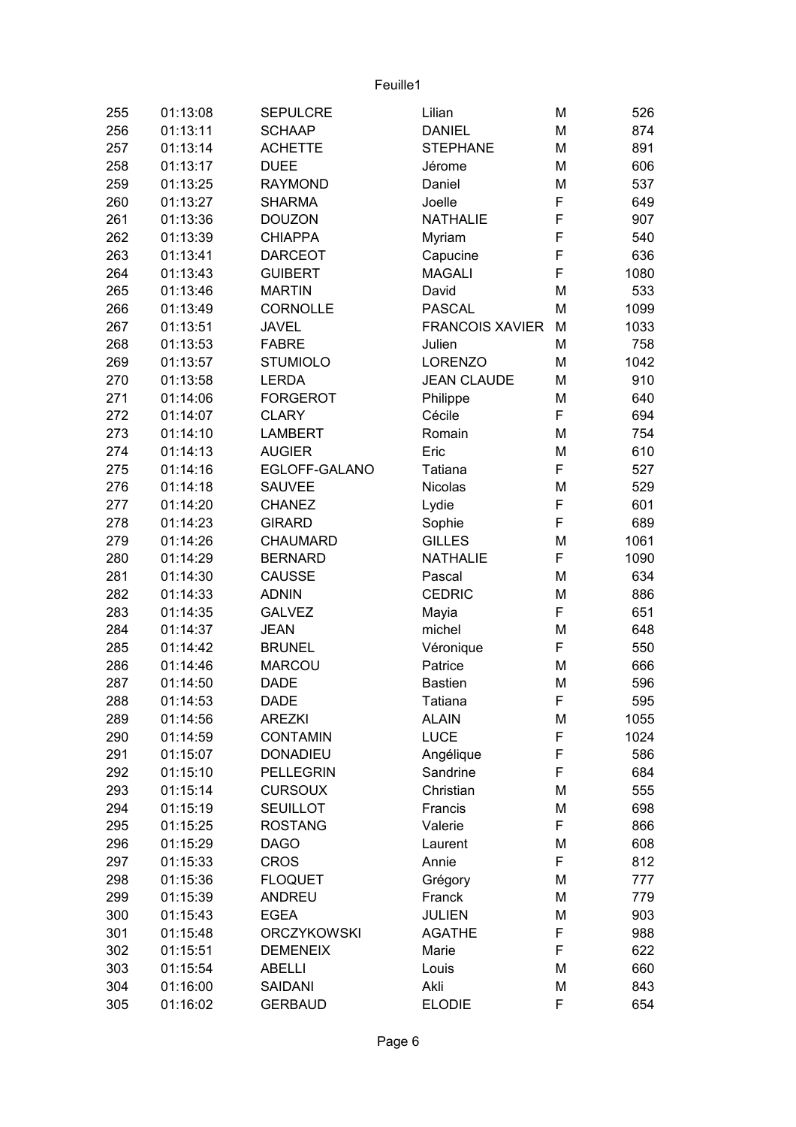| 255 | 01:13:08 | <b>SEPULCRE</b>    | Lilian                 | M | 526  |
|-----|----------|--------------------|------------------------|---|------|
| 256 | 01:13:11 | <b>SCHAAP</b>      | <b>DANIEL</b>          | M | 874  |
| 257 | 01:13:14 | <b>ACHETTE</b>     | <b>STEPHANE</b>        | M | 891  |
| 258 | 01:13:17 | <b>DUEE</b>        | Jérome                 | M | 606  |
| 259 | 01:13:25 | <b>RAYMOND</b>     | Daniel                 | M | 537  |
| 260 | 01:13:27 | <b>SHARMA</b>      | Joelle                 | F | 649  |
| 261 | 01:13:36 | <b>DOUZON</b>      | <b>NATHALIE</b>        | F | 907  |
| 262 | 01:13:39 | <b>CHIAPPA</b>     | Myriam                 | F | 540  |
| 263 | 01:13:41 | <b>DARCEOT</b>     | Capucine               | F | 636  |
| 264 | 01:13:43 | <b>GUIBERT</b>     | <b>MAGALI</b>          | F | 1080 |
| 265 | 01:13:46 | <b>MARTIN</b>      | David                  | M | 533  |
| 266 | 01:13:49 | <b>CORNOLLE</b>    | <b>PASCAL</b>          | M | 1099 |
| 267 | 01:13:51 | <b>JAVEL</b>       | <b>FRANCOIS XAVIER</b> | M | 1033 |
| 268 | 01:13:53 | <b>FABRE</b>       | Julien                 | M | 758  |
| 269 | 01:13:57 | <b>STUMIOLO</b>    | <b>LORENZO</b>         | M | 1042 |
| 270 | 01:13:58 | <b>LERDA</b>       | <b>JEAN CLAUDE</b>     | M | 910  |
| 271 | 01:14:06 | <b>FORGEROT</b>    | Philippe               | M | 640  |
| 272 | 01:14:07 | <b>CLARY</b>       | Cécile                 | F | 694  |
| 273 | 01:14:10 | <b>LAMBERT</b>     | Romain                 | M | 754  |
| 274 | 01:14:13 | <b>AUGIER</b>      | Eric                   | M | 610  |
| 275 | 01:14:16 | EGLOFF-GALANO      | Tatiana                | F | 527  |
| 276 | 01:14:18 | <b>SAUVEE</b>      | <b>Nicolas</b>         | M | 529  |
| 277 | 01:14:20 | <b>CHANEZ</b>      | Lydie                  | F | 601  |
| 278 | 01:14:23 | <b>GIRARD</b>      | Sophie                 | F | 689  |
| 279 | 01:14:26 | <b>CHAUMARD</b>    | <b>GILLES</b>          | M | 1061 |
| 280 | 01:14:29 | <b>BERNARD</b>     | <b>NATHALIE</b>        | F | 1090 |
| 281 | 01:14:30 | <b>CAUSSE</b>      | Pascal                 | M | 634  |
| 282 | 01:14:33 | <b>ADNIN</b>       | <b>CEDRIC</b>          | M | 886  |
| 283 | 01:14:35 | <b>GALVEZ</b>      | Mayia                  | F | 651  |
| 284 | 01:14:37 | <b>JEAN</b>        | michel                 | M | 648  |
| 285 | 01:14:42 | <b>BRUNEL</b>      | Véronique              | F | 550  |
| 286 | 01:14:46 | <b>MARCOU</b>      | Patrice                | M | 666  |
| 287 | 01:14:50 | <b>DADE</b>        | <b>Bastien</b>         | M | 596  |
| 288 | 01:14:53 | <b>DADE</b>        | Tatiana                | F | 595  |
| 289 | 01:14:56 | <b>AREZKI</b>      | <b>ALAIN</b>           | M | 1055 |
| 290 | 01:14:59 | <b>CONTAMIN</b>    | <b>LUCE</b>            | F | 1024 |
| 291 | 01:15:07 | <b>DONADIEU</b>    | Angélique              | F | 586  |
| 292 | 01:15:10 | <b>PELLEGRIN</b>   | Sandrine               | F | 684  |
| 293 | 01:15:14 | <b>CURSOUX</b>     | Christian              | M | 555  |
| 294 | 01:15:19 | <b>SEUILLOT</b>    | Francis                | M | 698  |
| 295 | 01:15:25 | <b>ROSTANG</b>     | Valerie                | F | 866  |
| 296 | 01:15:29 | <b>DAGO</b>        | Laurent                | M | 608  |
| 297 | 01:15:33 | <b>CROS</b>        | Annie                  | F | 812  |
| 298 | 01:15:36 | <b>FLOQUET</b>     | Grégory                | M | 777  |
| 299 | 01:15:39 | <b>ANDREU</b>      | Franck                 | M | 779  |
| 300 | 01:15:43 | <b>EGEA</b>        | <b>JULIEN</b>          | M | 903  |
| 301 | 01:15:48 | <b>ORCZYKOWSKI</b> | <b>AGATHE</b>          | F | 988  |
| 302 | 01:15:51 | <b>DEMENEIX</b>    | Marie                  | F | 622  |
| 303 | 01:15:54 | <b>ABELLI</b>      | Louis                  | M | 660  |
| 304 | 01:16:00 | <b>SAIDANI</b>     | Akli                   | M | 843  |
| 305 | 01:16:02 | <b>GERBAUD</b>     | <b>ELODIE</b>          | F | 654  |
|     |          |                    |                        |   |      |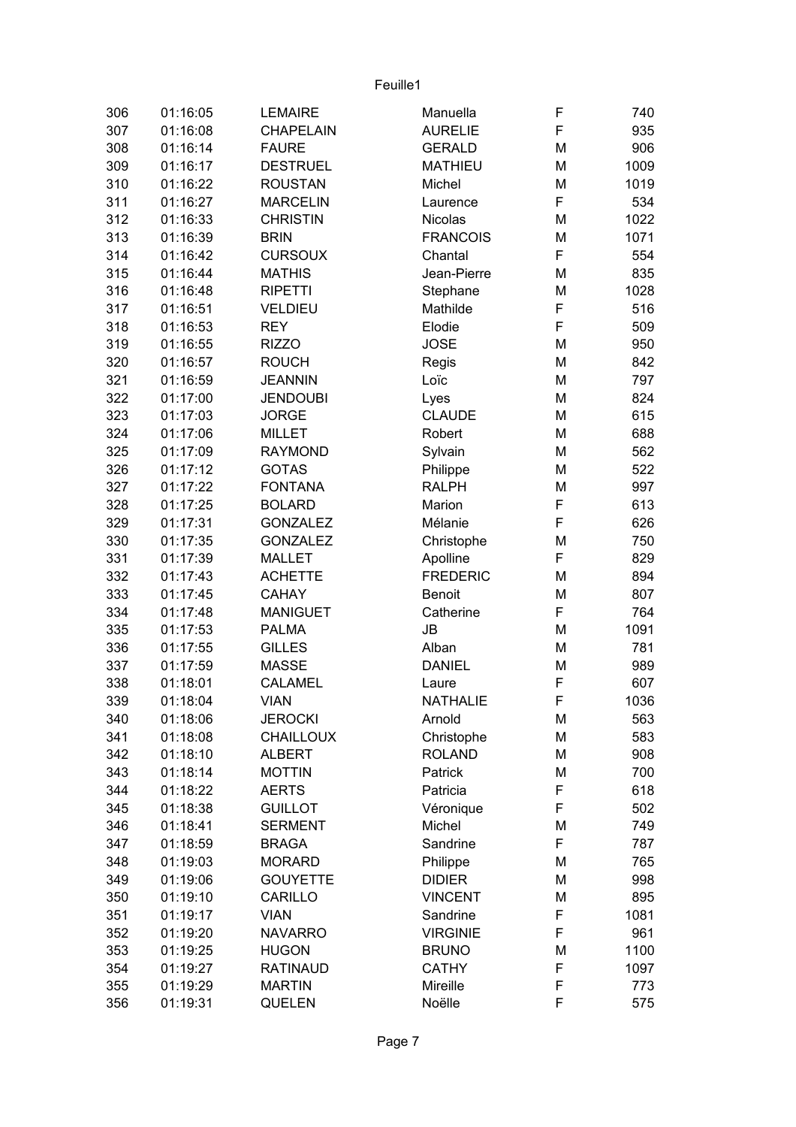| 306 | 01:16:05 | <b>LEMAIRE</b>   | Manuella        | F | 740  |
|-----|----------|------------------|-----------------|---|------|
| 307 | 01:16:08 | <b>CHAPELAIN</b> | <b>AURELIE</b>  | F | 935  |
| 308 | 01:16:14 | <b>FAURE</b>     | <b>GERALD</b>   | M | 906  |
| 309 | 01:16:17 | <b>DESTRUEL</b>  | <b>MATHIEU</b>  | M | 1009 |
| 310 | 01:16:22 | <b>ROUSTAN</b>   | Michel          | M | 1019 |
| 311 | 01:16:27 | <b>MARCELIN</b>  | Laurence        | F | 534  |
| 312 | 01:16:33 | <b>CHRISTIN</b>  | Nicolas         | M | 1022 |
| 313 | 01:16:39 | <b>BRIN</b>      | <b>FRANCOIS</b> | M | 1071 |
| 314 | 01:16:42 | <b>CURSOUX</b>   | Chantal         | F | 554  |
| 315 | 01:16:44 | <b>MATHIS</b>    | Jean-Pierre     | M | 835  |
| 316 | 01:16:48 | <b>RIPETTI</b>   | Stephane        | M | 1028 |
| 317 | 01:16:51 | <b>VELDIEU</b>   | Mathilde        | F | 516  |
| 318 | 01:16:53 | <b>REY</b>       | Elodie          | F | 509  |
| 319 | 01:16:55 | <b>RIZZO</b>     | <b>JOSE</b>     | M | 950  |
| 320 | 01:16:57 | <b>ROUCH</b>     | Regis           | M | 842  |
| 321 | 01:16:59 | <b>JEANNIN</b>   | Loïc            | M | 797  |
| 322 | 01:17:00 | <b>JENDOUBI</b>  | Lyes            | M | 824  |
| 323 | 01:17:03 | <b>JORGE</b>     | <b>CLAUDE</b>   | M | 615  |
| 324 | 01:17:06 | <b>MILLET</b>    | Robert          | M | 688  |
| 325 | 01:17:09 | <b>RAYMOND</b>   | Sylvain         | M | 562  |
| 326 | 01:17:12 | <b>GOTAS</b>     | Philippe        | M | 522  |
| 327 | 01:17:22 | <b>FONTANA</b>   | <b>RALPH</b>    | M | 997  |
| 328 | 01:17:25 | <b>BOLARD</b>    | Marion          | F | 613  |
| 329 | 01:17:31 | <b>GONZALEZ</b>  | Mélanie         | F | 626  |
| 330 | 01:17:35 | <b>GONZALEZ</b>  | Christophe      | M | 750  |
| 331 | 01:17:39 | <b>MALLET</b>    | Apolline        | F | 829  |
| 332 | 01:17:43 | <b>ACHETTE</b>   | <b>FREDERIC</b> | M | 894  |
| 333 | 01:17:45 | <b>CAHAY</b>     | Benoit          | M | 807  |
| 334 | 01:17:48 | <b>MANIGUET</b>  | Catherine       | F | 764  |
| 335 | 01:17:53 | <b>PALMA</b>     | <b>JB</b>       | M | 1091 |
| 336 | 01:17:55 | <b>GILLES</b>    | Alban           | M | 781  |
| 337 | 01:17:59 | <b>MASSE</b>     | <b>DANIEL</b>   | M | 989  |
| 338 | 01:18:01 | <b>CALAMEL</b>   | Laure           | F | 607  |
| 339 | 01:18:04 | <b>VIAN</b>      | NATHALIE        | F | 1036 |
| 340 | 01:18:06 | <b>JEROCKI</b>   | Arnold          | M | 563  |
| 341 | 01:18:08 | <b>CHAILLOUX</b> | Christophe      | M | 583  |
| 342 | 01:18:10 | <b>ALBERT</b>    | <b>ROLAND</b>   | M | 908  |
| 343 | 01:18:14 | <b>MOTTIN</b>    | Patrick         | M | 700  |
| 344 | 01:18:22 | <b>AERTS</b>     | Patricia        | F | 618  |
| 345 | 01:18:38 | <b>GUILLOT</b>   | Véronique       | F | 502  |
| 346 | 01:18:41 | <b>SERMENT</b>   | Michel          | M | 749  |
| 347 | 01:18:59 | <b>BRAGA</b>     | Sandrine        | F | 787  |
| 348 | 01:19:03 | <b>MORARD</b>    | Philippe        | M | 765  |
| 349 | 01:19:06 | <b>GOUYETTE</b>  | <b>DIDIER</b>   | M | 998  |
| 350 | 01:19:10 | CARILLO          | <b>VINCENT</b>  | M | 895  |
| 351 | 01:19:17 | <b>VIAN</b>      | Sandrine        | F | 1081 |
| 352 | 01:19:20 | <b>NAVARRO</b>   | <b>VIRGINIE</b> | F | 961  |
| 353 | 01:19:25 | <b>HUGON</b>     | <b>BRUNO</b>    | M | 1100 |
| 354 | 01:19:27 | <b>RATINAUD</b>  | <b>CATHY</b>    | F | 1097 |
| 355 | 01:19:29 | <b>MARTIN</b>    | Mireille        | F | 773  |
| 356 | 01:19:31 | QUELEN           | Noëlle          | F | 575  |
|     |          |                  |                 |   |      |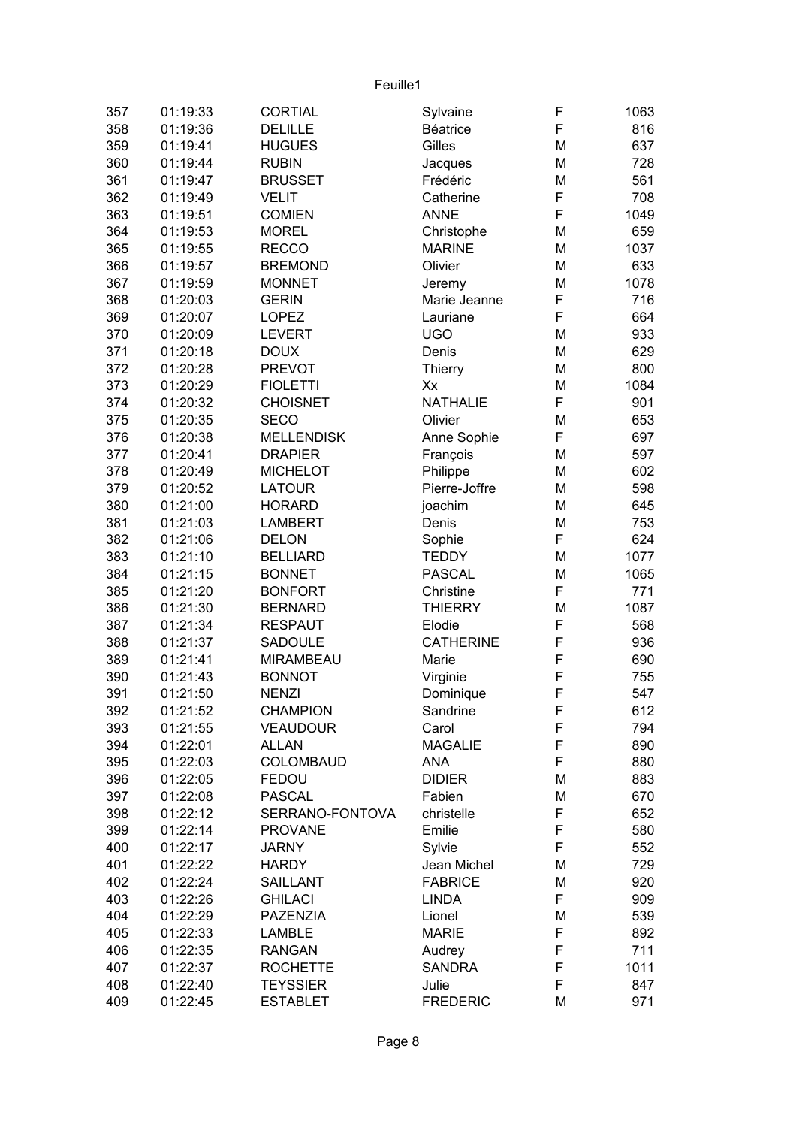| 357 | 01:19:33 | <b>CORTIAL</b>    | Sylvaine         | F | 1063 |
|-----|----------|-------------------|------------------|---|------|
| 358 | 01:19:36 | <b>DELILLE</b>    | <b>Béatrice</b>  | F | 816  |
| 359 | 01:19:41 | <b>HUGUES</b>     | Gilles           | M | 637  |
| 360 | 01:19:44 | <b>RUBIN</b>      | Jacques          | M | 728  |
| 361 | 01:19:47 | <b>BRUSSET</b>    | Frédéric         | M | 561  |
| 362 | 01:19:49 | <b>VELIT</b>      | Catherine        | F | 708  |
| 363 | 01:19:51 | <b>COMIEN</b>     | <b>ANNE</b>      | F | 1049 |
| 364 | 01:19:53 | <b>MOREL</b>      | Christophe       | M | 659  |
| 365 | 01:19:55 | <b>RECCO</b>      | <b>MARINE</b>    | M | 1037 |
| 366 | 01:19:57 | <b>BREMOND</b>    | Olivier          | M | 633  |
| 367 | 01:19:59 | <b>MONNET</b>     | Jeremy           | M | 1078 |
| 368 | 01:20:03 | <b>GERIN</b>      | Marie Jeanne     | F | 716  |
| 369 | 01:20:07 | <b>LOPEZ</b>      | Lauriane         | F | 664  |
| 370 | 01:20:09 | <b>LEVERT</b>     | <b>UGO</b>       | M | 933  |
|     |          |                   |                  |   |      |
| 371 | 01:20:18 | <b>DOUX</b>       | Denis            | M | 629  |
| 372 | 01:20:28 | <b>PREVOT</b>     | Thierry          | M | 800  |
| 373 | 01:20:29 | <b>FIOLETTI</b>   | Xx               | M | 1084 |
| 374 | 01:20:32 | <b>CHOISNET</b>   | <b>NATHALIE</b>  | F | 901  |
| 375 | 01:20:35 | <b>SECO</b>       | Olivier          | M | 653  |
| 376 | 01:20:38 | <b>MELLENDISK</b> | Anne Sophie      | F | 697  |
| 377 | 01:20:41 | <b>DRAPIER</b>    | François         | M | 597  |
| 378 | 01:20:49 | <b>MICHELOT</b>   | Philippe         | M | 602  |
| 379 | 01:20:52 | <b>LATOUR</b>     | Pierre-Joffre    | M | 598  |
| 380 | 01:21:00 | <b>HORARD</b>     | joachim          | M | 645  |
| 381 | 01:21:03 | <b>LAMBERT</b>    | Denis            | M | 753  |
| 382 | 01:21:06 | <b>DELON</b>      | Sophie           | F | 624  |
| 383 | 01:21:10 | <b>BELLIARD</b>   | <b>TEDDY</b>     | M | 1077 |
| 384 | 01:21:15 | <b>BONNET</b>     | <b>PASCAL</b>    | M | 1065 |
| 385 | 01:21:20 | <b>BONFORT</b>    | Christine        | F | 771  |
| 386 | 01:21:30 | <b>BERNARD</b>    | <b>THIERRY</b>   | M | 1087 |
| 387 | 01:21:34 | <b>RESPAUT</b>    | Elodie           | F | 568  |
| 388 | 01:21:37 | <b>SADOULE</b>    | <b>CATHERINE</b> | F | 936  |
| 389 | 01:21:41 | <b>MIRAMBEAU</b>  | Marie            | F | 690  |
| 390 | 01:21:43 | <b>BONNOT</b>     | Virginie         | F | 755  |
| 391 | 01:21:50 | <b>NENZI</b>      | Dominique        | F | 547  |
| 392 | 01:21:52 | <b>CHAMPION</b>   | Sandrine         | F | 612  |
| 393 | 01:21:55 | <b>VEAUDOUR</b>   | Carol            | F | 794  |
| 394 | 01:22:01 | <b>ALLAN</b>      | <b>MAGALIE</b>   | F | 890  |
| 395 | 01:22:03 | COLOMBAUD         | <b>ANA</b>       | F | 880  |
| 396 | 01:22:05 | <b>FEDOU</b>      | <b>DIDIER</b>    | M | 883  |
| 397 | 01:22:08 | <b>PASCAL</b>     | Fabien           | M | 670  |
| 398 | 01:22:12 | SERRANO-FONTOVA   | christelle       | F | 652  |
| 399 | 01:22:14 | <b>PROVANE</b>    | Emilie           | F | 580  |
| 400 | 01:22:17 | <b>JARNY</b>      | Sylvie           | F | 552  |
| 401 | 01:22:22 | <b>HARDY</b>      | Jean Michel      | M | 729  |
| 402 | 01:22:24 | <b>SAILLANT</b>   | <b>FABRICE</b>   | M | 920  |
|     |          |                   |                  |   |      |
| 403 | 01:22:26 | <b>GHILACI</b>    | <b>LINDA</b>     | F | 909  |
| 404 | 01:22:29 | <b>PAZENZIA</b>   | Lionel           | M | 539  |
| 405 | 01:22:33 | <b>LAMBLE</b>     | <b>MARIE</b>     | F | 892  |
| 406 | 01:22:35 | <b>RANGAN</b>     | Audrey           | F | 711  |
| 407 | 01:22:37 | <b>ROCHETTE</b>   | <b>SANDRA</b>    | F | 1011 |
| 408 | 01:22:40 | <b>TEYSSIER</b>   | Julie            | F | 847  |
| 409 | 01:22:45 | <b>ESTABLET</b>   | <b>FREDERIC</b>  | M | 971  |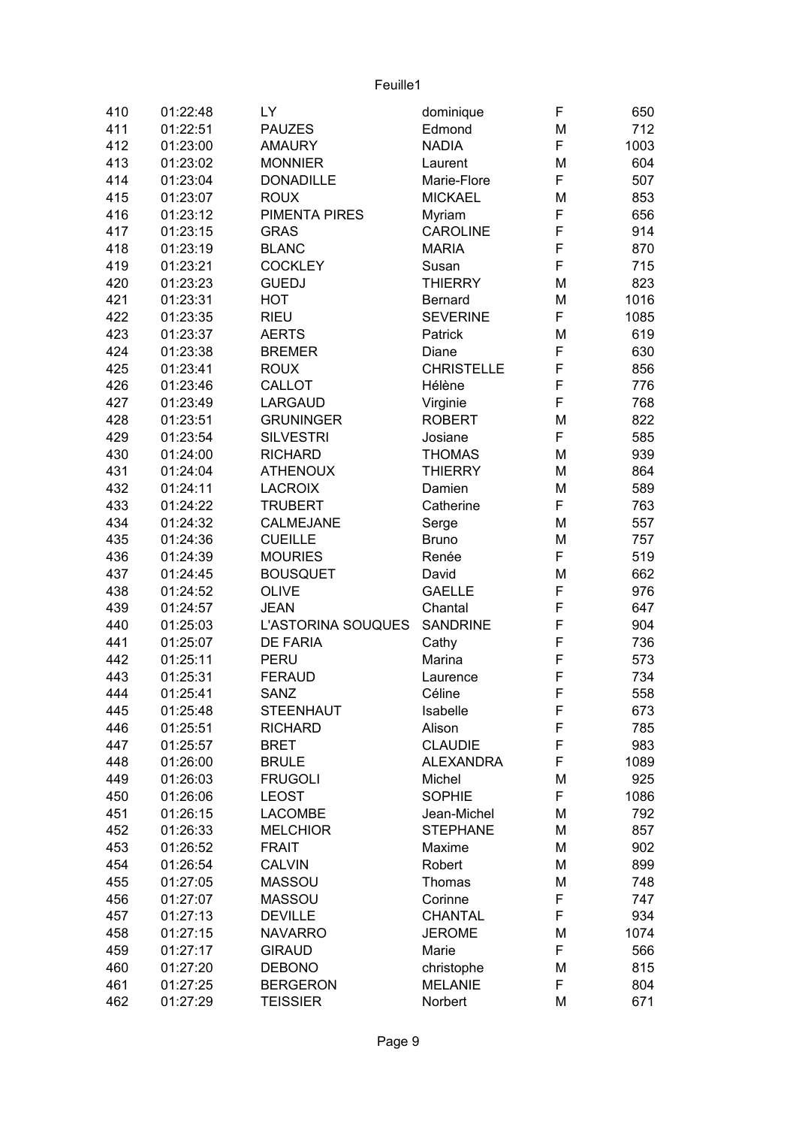| 410 | 01:22:48 | LY                   | dominique         | F | 650  |
|-----|----------|----------------------|-------------------|---|------|
| 411 | 01:22:51 | <b>PAUZES</b>        | Edmond            | M | 712  |
| 412 | 01:23:00 | <b>AMAURY</b>        | <b>NADIA</b>      | F | 1003 |
| 413 | 01:23:02 | <b>MONNIER</b>       | Laurent           | M | 604  |
| 414 | 01:23:04 | <b>DONADILLE</b>     | Marie-Flore       | F | 507  |
| 415 | 01:23:07 | <b>ROUX</b>          | <b>MICKAEL</b>    | M | 853  |
| 416 | 01:23:12 | <b>PIMENTA PIRES</b> | Myriam            | F | 656  |
| 417 | 01:23:15 | <b>GRAS</b>          | <b>CAROLINE</b>   | F | 914  |
| 418 | 01:23:19 | <b>BLANC</b>         | <b>MARIA</b>      | F | 870  |
| 419 | 01:23:21 |                      | Susan             | F | 715  |
|     |          | <b>COCKLEY</b>       |                   |   |      |
| 420 | 01:23:23 | <b>GUEDJ</b>         | <b>THIERRY</b>    | М | 823  |
| 421 | 01:23:31 | <b>HOT</b>           | <b>Bernard</b>    | M | 1016 |
| 422 | 01:23:35 | <b>RIEU</b>          | <b>SEVERINE</b>   | F | 1085 |
| 423 | 01:23:37 | <b>AERTS</b>         | Patrick           | M | 619  |
| 424 | 01:23:38 | <b>BREMER</b>        | Diane             | F | 630  |
| 425 | 01:23:41 | <b>ROUX</b>          | <b>CHRISTELLE</b> | F | 856  |
| 426 | 01:23:46 | <b>CALLOT</b>        | Hélène            | F | 776  |
| 427 | 01:23:49 | <b>LARGAUD</b>       | Virginie          | F | 768  |
| 428 | 01:23:51 | <b>GRUNINGER</b>     | <b>ROBERT</b>     | M | 822  |
| 429 | 01:23:54 | <b>SILVESTRI</b>     | Josiane           | F | 585  |
| 430 | 01:24:00 | <b>RICHARD</b>       | <b>THOMAS</b>     | M | 939  |
| 431 | 01:24:04 | <b>ATHENOUX</b>      | <b>THIERRY</b>    | M | 864  |
| 432 | 01:24:11 | <b>LACROIX</b>       | Damien            | M | 589  |
| 433 | 01:24:22 | <b>TRUBERT</b>       | Catherine         | F | 763  |
| 434 | 01:24:32 | CALMEJANE            | Serge             | Μ | 557  |
| 435 | 01:24:36 | <b>CUEILLE</b>       | <b>Bruno</b>      | M | 757  |
| 436 | 01:24:39 | <b>MOURIES</b>       | Renée             | F | 519  |
| 437 | 01:24:45 | <b>BOUSQUET</b>      | David             | M | 662  |
| 438 | 01:24:52 | <b>OLIVE</b>         | <b>GAELLE</b>     | F | 976  |
| 439 | 01:24:57 | <b>JEAN</b>          | Chantal           | F | 647  |
| 440 | 01:25:03 | L'ASTORINA SOUQUES   | <b>SANDRINE</b>   | F | 904  |
| 441 | 01:25:07 | <b>DE FARIA</b>      | Cathy             | F | 736  |
| 442 | 01:25:11 | <b>PERU</b>          | Marina            | F | 573  |
| 443 | 01:25:31 | <b>FERAUD</b>        | Laurence          | F | 734  |
| 444 | 01:25:41 | <b>SANZ</b>          | Céline            | F | 558  |
| 445 | 01:25:48 | <b>STEENHAUT</b>     | Isabelle          | F | 673  |
| 446 | 01:25:51 | <b>RICHARD</b>       | Alison            | F | 785  |
| 447 | 01:25:57 | <b>BRET</b>          | <b>CLAUDIE</b>    | F | 983  |
| 448 | 01:26:00 | <b>BRULE</b>         | <b>ALEXANDRA</b>  | F | 1089 |
| 449 | 01:26:03 | <b>FRUGOLI</b>       | Michel            | M | 925  |
| 450 | 01:26:06 | <b>LEOST</b>         | <b>SOPHIE</b>     | F | 1086 |
| 451 | 01:26:15 | <b>LACOMBE</b>       | Jean-Michel       | M | 792  |
| 452 | 01:26:33 | <b>MELCHIOR</b>      | <b>STEPHANE</b>   | M | 857  |
| 453 | 01:26:52 | <b>FRAIT</b>         | Maxime            | M | 902  |
| 454 | 01:26:54 | <b>CALVIN</b>        | Robert            | M | 899  |
| 455 | 01:27:05 | MASSOU               | Thomas            | M | 748  |
|     | 01:27:07 | <b>MASSOU</b>        |                   | F | 747  |
| 456 |          |                      | Corinne           |   |      |
| 457 | 01:27:13 | <b>DEVILLE</b>       | <b>CHANTAL</b>    | F | 934  |
| 458 | 01:27:15 | <b>NAVARRO</b>       | <b>JEROME</b>     | M | 1074 |
| 459 | 01:27:17 | <b>GIRAUD</b>        | Marie             | F | 566  |
| 460 | 01:27:20 | <b>DEBONO</b>        | christophe        | M | 815  |
| 461 | 01:27:25 | <b>BERGERON</b>      | <b>MELANIE</b>    | F | 804  |
| 462 | 01:27:29 | <b>TEISSIER</b>      | Norbert           | M | 671  |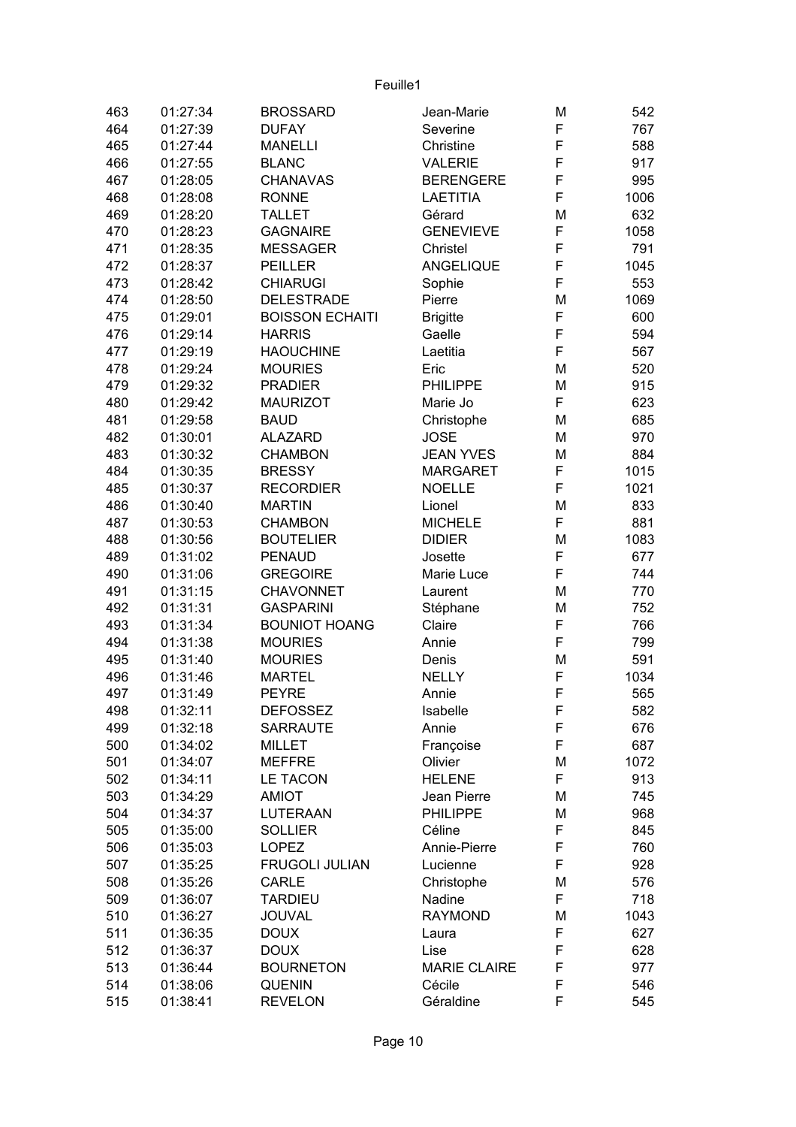| 463 | 01:27:34 | <b>BROSSARD</b>        | Jean-Marie          | M | 542  |
|-----|----------|------------------------|---------------------|---|------|
| 464 | 01:27:39 | <b>DUFAY</b>           | Severine            | F | 767  |
| 465 | 01:27:44 | <b>MANELLI</b>         | Christine           | F | 588  |
| 466 | 01:27:55 | <b>BLANC</b>           | <b>VALERIE</b>      | F | 917  |
| 467 | 01:28:05 | <b>CHANAVAS</b>        | <b>BERENGERE</b>    | F | 995  |
| 468 | 01:28:08 | <b>RONNE</b>           | <b>LAETITIA</b>     | F | 1006 |
| 469 | 01:28:20 | <b>TALLET</b>          | Gérard              | M | 632  |
| 470 | 01:28:23 | <b>GAGNAIRE</b>        | <b>GENEVIEVE</b>    | F | 1058 |
| 471 | 01:28:35 | <b>MESSAGER</b>        | Christel            | F | 791  |
| 472 | 01:28:37 | <b>PEILLER</b>         | <b>ANGELIQUE</b>    | F | 1045 |
| 473 | 01:28:42 | <b>CHIARUGI</b>        | Sophie              | F | 553  |
| 474 | 01:28:50 | <b>DELESTRADE</b>      | Pierre              | M | 1069 |
| 475 | 01:29:01 | <b>BOISSON ECHAITI</b> | <b>Brigitte</b>     | F | 600  |
| 476 | 01:29:14 | <b>HARRIS</b>          | Gaelle              | F | 594  |
|     |          | <b>HAOUCHINE</b>       |                     | F |      |
| 477 | 01:29:19 | <b>MOURIES</b>         | Laetitia            |   | 567  |
| 478 | 01:29:24 |                        | Eric                | M | 520  |
| 479 | 01:29:32 | <b>PRADIER</b>         | <b>PHILIPPE</b>     | M | 915  |
| 480 | 01:29:42 | <b>MAURIZOT</b>        | Marie Jo            | F | 623  |
| 481 | 01:29:58 | <b>BAUD</b>            | Christophe          | M | 685  |
| 482 | 01:30:01 | <b>ALAZARD</b>         | <b>JOSE</b>         | M | 970  |
| 483 | 01:30:32 | <b>CHAMBON</b>         | <b>JEAN YVES</b>    | M | 884  |
| 484 | 01:30:35 | <b>BRESSY</b>          | <b>MARGARET</b>     | F | 1015 |
| 485 | 01:30:37 | <b>RECORDIER</b>       | <b>NOELLE</b>       | F | 1021 |
| 486 | 01:30:40 | <b>MARTIN</b>          | Lionel              | M | 833  |
| 487 | 01:30:53 | <b>CHAMBON</b>         | <b>MICHELE</b>      | F | 881  |
| 488 | 01:30:56 | <b>BOUTELIER</b>       | <b>DIDIER</b>       | M | 1083 |
| 489 | 01:31:02 | <b>PENAUD</b>          | Josette             | F | 677  |
| 490 | 01:31:06 | <b>GREGOIRE</b>        | Marie Luce          | F | 744  |
| 491 | 01:31:15 | <b>CHAVONNET</b>       | Laurent             | M | 770  |
| 492 | 01:31:31 | <b>GASPARINI</b>       | Stéphane            | M | 752  |
| 493 | 01:31:34 | <b>BOUNIOT HOANG</b>   | Claire              | F | 766  |
| 494 | 01:31:38 | <b>MOURIES</b>         | Annie               | F | 799  |
| 495 | 01:31:40 | <b>MOURIES</b>         | Denis               | M | 591  |
| 496 | 01:31:46 | <b>MARTEL</b>          | <b>NELLY</b>        | F | 1034 |
| 497 | 01:31:49 | <b>PEYRE</b>           | Annie               | F | 565  |
| 498 | 01:32:11 | <b>DEFOSSEZ</b>        | Isabelle            | F | 582  |
| 499 | 01:32:18 | <b>SARRAUTE</b>        | Annie               | F | 676  |
| 500 | 01:34:02 | <b>MILLET</b>          | Françoise           | F | 687  |
| 501 | 01:34:07 | <b>MEFFRE</b>          | Olivier             | M | 1072 |
| 502 | 01:34:11 | LE TACON               | <b>HELENE</b>       | F | 913  |
| 503 | 01:34:29 | <b>AMIOT</b>           | Jean Pierre         | M | 745  |
| 504 | 01:34:37 | LUTERAAN               | <b>PHILIPPE</b>     | M | 968  |
| 505 | 01:35:00 | <b>SOLLIER</b>         | Céline              | F | 845  |
| 506 | 01:35:03 | <b>LOPEZ</b>           | Annie-Pierre        | F | 760  |
| 507 | 01:35:25 | <b>FRUGOLI JULIAN</b>  | Lucienne            | F | 928  |
| 508 | 01:35:26 | <b>CARLE</b>           | Christophe          | M | 576  |
| 509 | 01:36:07 | <b>TARDIEU</b>         | Nadine              | F | 718  |
| 510 | 01:36:27 | <b>JOUVAL</b>          | <b>RAYMOND</b>      | M | 1043 |
| 511 | 01:36:35 | <b>DOUX</b>            | Laura               | F | 627  |
| 512 | 01:36:37 | <b>DOUX</b>            | Lise                | F | 628  |
| 513 |          | <b>BOURNETON</b>       | <b>MARIE CLAIRE</b> | F | 977  |
|     | 01:36:44 |                        |                     |   |      |
| 514 | 01:38:06 | <b>QUENIN</b>          | Cécile              | F | 546  |
| 515 | 01:38:41 | <b>REVELON</b>         | Géraldine           | F | 545  |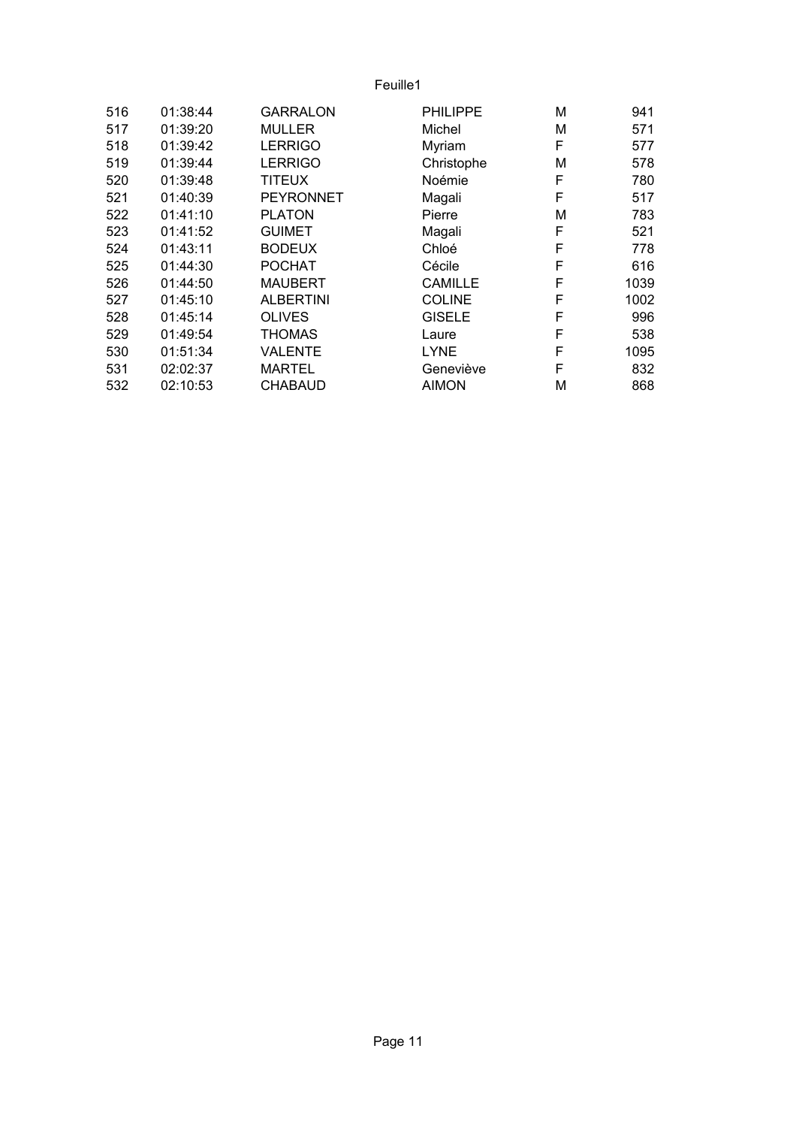| 516 | 01:38:44 | GARRALON         | <b>PHILIPPE</b> | М | 941  |
|-----|----------|------------------|-----------------|---|------|
| 517 | 01:39:20 | <b>MULLER</b>    | Michel          | М | 571  |
| 518 | 01:39:42 | <b>LERRIGO</b>   | Myriam          | F | 577  |
| 519 | 01:39:44 | <b>LERRIGO</b>   | Christophe      | M | 578  |
| 520 | 01:39:48 | <b>TITEUX</b>    | Noémie          | F | 780  |
| 521 | 01:40:39 | <b>PEYRONNET</b> | Magali          | F | 517  |
| 522 | 01:41:10 | <b>PLATON</b>    | Pierre          | М | 783  |
| 523 | 01:41:52 | <b>GUIMET</b>    | Magali          | F | 521  |
| 524 | 01:43:11 | <b>BODEUX</b>    | Chloé           | F | 778  |
| 525 | 01:44:30 | <b>POCHAT</b>    | Cécile          | F | 616  |
| 526 | 01:44:50 | <b>MAUBERT</b>   | <b>CAMILLE</b>  | F | 1039 |
| 527 | 01:45:10 | <b>ALBERTINI</b> | <b>COLINE</b>   | F | 1002 |
| 528 | 01:45:14 | <b>OLIVES</b>    | <b>GISELE</b>   | F | 996  |
| 529 | 01:49:54 | <b>THOMAS</b>    | Laure           | F | 538  |
| 530 | 01:51:34 | <b>VALENTE</b>   | <b>LYNE</b>     | F | 1095 |
| 531 | 02:02:37 | <b>MARTEL</b>    | Geneviève       | F | 832  |
| 532 | 02:10:53 | <b>CHABAUD</b>   | <b>AIMON</b>    | M | 868  |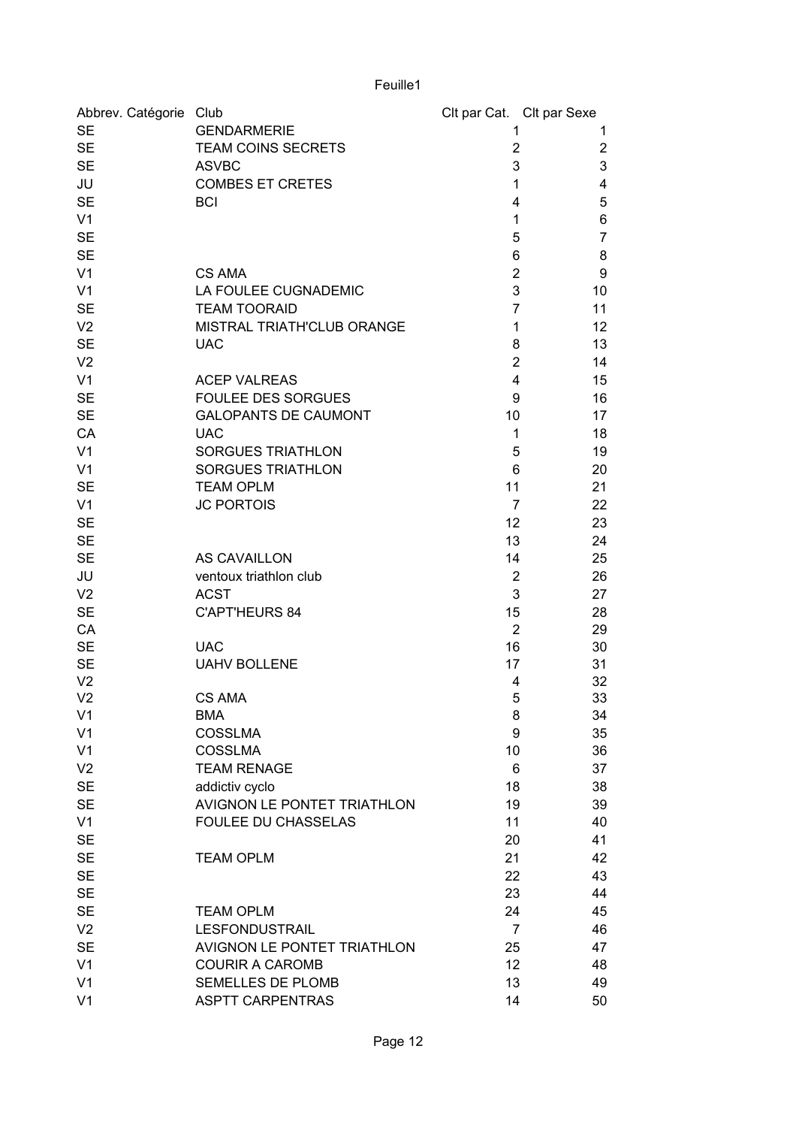| <b>SE</b><br><b>GENDARMERIE</b><br>1<br>1<br><b>SE</b><br><b>TEAM COINS SECRETS</b><br>$\overline{2}$<br><b>SE</b><br>3<br><b>ASVBC</b><br>JU<br><b>COMBES ET CRETES</b><br>1<br><b>SE</b><br><b>BCI</b><br>4<br>1<br><b>SE</b><br>5<br><b>SE</b><br>6<br>$\overline{2}$<br>CS AMA<br>3<br>LA FOULEE CUGNADEMIC<br><b>SE</b><br>$\overline{7}$<br><b>TEAM TOORAID</b><br>MISTRAL TRIATH'CLUB ORANGE<br>1<br><b>UAC</b><br>8<br>$\overline{2}$<br>4<br><b>ACEP VALREAS</b><br><b>SE</b><br><b>FOULEE DES SORGUES</b><br>9<br>16<br><b>SE</b><br><b>GALOPANTS DE CAUMONT</b><br>10<br>18<br><b>UAC</b><br>1<br><b>SORGUES TRIATHLON</b><br>5<br>19<br><b>SORGUES TRIATHLON</b><br>6<br>20<br><b>SE</b><br><b>TEAM OPLM</b><br>11<br>21<br><b>JC PORTOIS</b><br>$\overline{7}$<br>22<br><b>SE</b><br>12<br>23<br><b>SE</b><br>13<br>24<br><b>SE</b><br>14<br>AS CAVAILLON<br>25<br>JU<br>ventoux triathlon club<br>2<br>26<br>3<br>27<br><b>ACST</b><br><b>SE</b><br><b>C'APT'HEURS 84</b><br>15<br>28<br>CA<br>$\overline{2}$<br>29<br><b>SE</b><br><b>UAC</b><br>16<br>30<br><b>SE</b><br><b>UAHV BOLLENE</b><br>17<br>31<br>32<br>4<br>33<br><b>CS AMA</b><br>5<br>V <sub>1</sub><br><b>BMA</b><br>8<br>V <sub>1</sub><br>9<br><b>COSSLMA</b><br>35<br>V <sub>1</sub><br><b>COSSLMA</b><br>10<br>V <sub>2</sub><br><b>TEAM RENAGE</b><br>6<br><b>SE</b><br>addictiv cyclo<br>38<br>18<br><b>SE</b><br>AVIGNON LE PONTET TRIATHLON<br>19<br>39<br>V <sub>1</sub><br>FOULEE DU CHASSELAS<br>11<br><b>SE</b><br>20<br><b>SE</b><br><b>TEAM OPLM</b><br>21<br><b>SE</b><br>22<br>43<br><b>SE</b><br>23<br>44<br><b>SE</b><br><b>TEAM OPLM</b><br>24<br>45<br>V <sub>2</sub><br>LESFONDUSTRAIL<br>46<br>$\overline{7}$<br><b>SE</b><br>AVIGNON LE PONTET TRIATHLON<br>25<br>12 |                | Abbrev. Catégorie Club |                        | Clt par Cat. Clt par Sexe |
|---------------------------------------------------------------------------------------------------------------------------------------------------------------------------------------------------------------------------------------------------------------------------------------------------------------------------------------------------------------------------------------------------------------------------------------------------------------------------------------------------------------------------------------------------------------------------------------------------------------------------------------------------------------------------------------------------------------------------------------------------------------------------------------------------------------------------------------------------------------------------------------------------------------------------------------------------------------------------------------------------------------------------------------------------------------------------------------------------------------------------------------------------------------------------------------------------------------------------------------------------------------------------------------------------------------------------------------------------------------------------------------------------------------------------------------------------------------------------------------------------------------------------------------------------------------------------------------------------------------------------------------------------------------------------------------------------------------------------------------------------------------------------|----------------|------------------------|------------------------|---------------------------|
| V <sub>1</sub><br>V <sub>1</sub><br>V <sub>1</sub><br>V <sub>2</sub><br><b>SE</b><br>V <sub>2</sub><br>V <sub>1</sub><br>CA<br>V <sub>1</sub><br>V <sub>1</sub><br>V <sub>1</sub><br>V <sub>2</sub><br>V <sub>2</sub><br>V <sub>2</sub>                                                                                                                                                                                                                                                                                                                                                                                                                                                                                                                                                                                                                                                                                                                                                                                                                                                                                                                                                                                                                                                                                                                                                                                                                                                                                                                                                                                                                                                                                                                                   |                |                        |                        |                           |
|                                                                                                                                                                                                                                                                                                                                                                                                                                                                                                                                                                                                                                                                                                                                                                                                                                                                                                                                                                                                                                                                                                                                                                                                                                                                                                                                                                                                                                                                                                                                                                                                                                                                                                                                                                           |                |                        |                        | $\overline{2}$            |
|                                                                                                                                                                                                                                                                                                                                                                                                                                                                                                                                                                                                                                                                                                                                                                                                                                                                                                                                                                                                                                                                                                                                                                                                                                                                                                                                                                                                                                                                                                                                                                                                                                                                                                                                                                           |                |                        |                        | 3                         |
|                                                                                                                                                                                                                                                                                                                                                                                                                                                                                                                                                                                                                                                                                                                                                                                                                                                                                                                                                                                                                                                                                                                                                                                                                                                                                                                                                                                                                                                                                                                                                                                                                                                                                                                                                                           |                |                        |                        | $\overline{\mathbf{4}}$   |
|                                                                                                                                                                                                                                                                                                                                                                                                                                                                                                                                                                                                                                                                                                                                                                                                                                                                                                                                                                                                                                                                                                                                                                                                                                                                                                                                                                                                                                                                                                                                                                                                                                                                                                                                                                           |                |                        |                        | 5                         |
|                                                                                                                                                                                                                                                                                                                                                                                                                                                                                                                                                                                                                                                                                                                                                                                                                                                                                                                                                                                                                                                                                                                                                                                                                                                                                                                                                                                                                                                                                                                                                                                                                                                                                                                                                                           |                |                        |                        | 6                         |
|                                                                                                                                                                                                                                                                                                                                                                                                                                                                                                                                                                                                                                                                                                                                                                                                                                                                                                                                                                                                                                                                                                                                                                                                                                                                                                                                                                                                                                                                                                                                                                                                                                                                                                                                                                           |                |                        |                        | $\overline{7}$            |
|                                                                                                                                                                                                                                                                                                                                                                                                                                                                                                                                                                                                                                                                                                                                                                                                                                                                                                                                                                                                                                                                                                                                                                                                                                                                                                                                                                                                                                                                                                                                                                                                                                                                                                                                                                           |                |                        |                        | 8                         |
|                                                                                                                                                                                                                                                                                                                                                                                                                                                                                                                                                                                                                                                                                                                                                                                                                                                                                                                                                                                                                                                                                                                                                                                                                                                                                                                                                                                                                                                                                                                                                                                                                                                                                                                                                                           |                |                        |                        | 9                         |
|                                                                                                                                                                                                                                                                                                                                                                                                                                                                                                                                                                                                                                                                                                                                                                                                                                                                                                                                                                                                                                                                                                                                                                                                                                                                                                                                                                                                                                                                                                                                                                                                                                                                                                                                                                           |                |                        |                        | 10                        |
|                                                                                                                                                                                                                                                                                                                                                                                                                                                                                                                                                                                                                                                                                                                                                                                                                                                                                                                                                                                                                                                                                                                                                                                                                                                                                                                                                                                                                                                                                                                                                                                                                                                                                                                                                                           |                |                        |                        | 11                        |
|                                                                                                                                                                                                                                                                                                                                                                                                                                                                                                                                                                                                                                                                                                                                                                                                                                                                                                                                                                                                                                                                                                                                                                                                                                                                                                                                                                                                                                                                                                                                                                                                                                                                                                                                                                           |                |                        |                        | 12                        |
|                                                                                                                                                                                                                                                                                                                                                                                                                                                                                                                                                                                                                                                                                                                                                                                                                                                                                                                                                                                                                                                                                                                                                                                                                                                                                                                                                                                                                                                                                                                                                                                                                                                                                                                                                                           |                |                        |                        | 13                        |
|                                                                                                                                                                                                                                                                                                                                                                                                                                                                                                                                                                                                                                                                                                                                                                                                                                                                                                                                                                                                                                                                                                                                                                                                                                                                                                                                                                                                                                                                                                                                                                                                                                                                                                                                                                           |                |                        |                        | 14                        |
|                                                                                                                                                                                                                                                                                                                                                                                                                                                                                                                                                                                                                                                                                                                                                                                                                                                                                                                                                                                                                                                                                                                                                                                                                                                                                                                                                                                                                                                                                                                                                                                                                                                                                                                                                                           |                |                        |                        | 15                        |
|                                                                                                                                                                                                                                                                                                                                                                                                                                                                                                                                                                                                                                                                                                                                                                                                                                                                                                                                                                                                                                                                                                                                                                                                                                                                                                                                                                                                                                                                                                                                                                                                                                                                                                                                                                           |                |                        |                        |                           |
|                                                                                                                                                                                                                                                                                                                                                                                                                                                                                                                                                                                                                                                                                                                                                                                                                                                                                                                                                                                                                                                                                                                                                                                                                                                                                                                                                                                                                                                                                                                                                                                                                                                                                                                                                                           |                |                        |                        | 17                        |
|                                                                                                                                                                                                                                                                                                                                                                                                                                                                                                                                                                                                                                                                                                                                                                                                                                                                                                                                                                                                                                                                                                                                                                                                                                                                                                                                                                                                                                                                                                                                                                                                                                                                                                                                                                           |                |                        |                        |                           |
|                                                                                                                                                                                                                                                                                                                                                                                                                                                                                                                                                                                                                                                                                                                                                                                                                                                                                                                                                                                                                                                                                                                                                                                                                                                                                                                                                                                                                                                                                                                                                                                                                                                                                                                                                                           |                |                        |                        |                           |
|                                                                                                                                                                                                                                                                                                                                                                                                                                                                                                                                                                                                                                                                                                                                                                                                                                                                                                                                                                                                                                                                                                                                                                                                                                                                                                                                                                                                                                                                                                                                                                                                                                                                                                                                                                           |                |                        |                        |                           |
|                                                                                                                                                                                                                                                                                                                                                                                                                                                                                                                                                                                                                                                                                                                                                                                                                                                                                                                                                                                                                                                                                                                                                                                                                                                                                                                                                                                                                                                                                                                                                                                                                                                                                                                                                                           |                |                        |                        |                           |
|                                                                                                                                                                                                                                                                                                                                                                                                                                                                                                                                                                                                                                                                                                                                                                                                                                                                                                                                                                                                                                                                                                                                                                                                                                                                                                                                                                                                                                                                                                                                                                                                                                                                                                                                                                           |                |                        |                        |                           |
|                                                                                                                                                                                                                                                                                                                                                                                                                                                                                                                                                                                                                                                                                                                                                                                                                                                                                                                                                                                                                                                                                                                                                                                                                                                                                                                                                                                                                                                                                                                                                                                                                                                                                                                                                                           |                |                        |                        |                           |
|                                                                                                                                                                                                                                                                                                                                                                                                                                                                                                                                                                                                                                                                                                                                                                                                                                                                                                                                                                                                                                                                                                                                                                                                                                                                                                                                                                                                                                                                                                                                                                                                                                                                                                                                                                           |                |                        |                        |                           |
|                                                                                                                                                                                                                                                                                                                                                                                                                                                                                                                                                                                                                                                                                                                                                                                                                                                                                                                                                                                                                                                                                                                                                                                                                                                                                                                                                                                                                                                                                                                                                                                                                                                                                                                                                                           |                |                        |                        |                           |
|                                                                                                                                                                                                                                                                                                                                                                                                                                                                                                                                                                                                                                                                                                                                                                                                                                                                                                                                                                                                                                                                                                                                                                                                                                                                                                                                                                                                                                                                                                                                                                                                                                                                                                                                                                           |                |                        |                        |                           |
|                                                                                                                                                                                                                                                                                                                                                                                                                                                                                                                                                                                                                                                                                                                                                                                                                                                                                                                                                                                                                                                                                                                                                                                                                                                                                                                                                                                                                                                                                                                                                                                                                                                                                                                                                                           |                |                        |                        |                           |
|                                                                                                                                                                                                                                                                                                                                                                                                                                                                                                                                                                                                                                                                                                                                                                                                                                                                                                                                                                                                                                                                                                                                                                                                                                                                                                                                                                                                                                                                                                                                                                                                                                                                                                                                                                           |                |                        |                        |                           |
|                                                                                                                                                                                                                                                                                                                                                                                                                                                                                                                                                                                                                                                                                                                                                                                                                                                                                                                                                                                                                                                                                                                                                                                                                                                                                                                                                                                                                                                                                                                                                                                                                                                                                                                                                                           |                |                        |                        |                           |
|                                                                                                                                                                                                                                                                                                                                                                                                                                                                                                                                                                                                                                                                                                                                                                                                                                                                                                                                                                                                                                                                                                                                                                                                                                                                                                                                                                                                                                                                                                                                                                                                                                                                                                                                                                           |                |                        |                        |                           |
|                                                                                                                                                                                                                                                                                                                                                                                                                                                                                                                                                                                                                                                                                                                                                                                                                                                                                                                                                                                                                                                                                                                                                                                                                                                                                                                                                                                                                                                                                                                                                                                                                                                                                                                                                                           |                |                        |                        |                           |
|                                                                                                                                                                                                                                                                                                                                                                                                                                                                                                                                                                                                                                                                                                                                                                                                                                                                                                                                                                                                                                                                                                                                                                                                                                                                                                                                                                                                                                                                                                                                                                                                                                                                                                                                                                           |                |                        |                        |                           |
|                                                                                                                                                                                                                                                                                                                                                                                                                                                                                                                                                                                                                                                                                                                                                                                                                                                                                                                                                                                                                                                                                                                                                                                                                                                                                                                                                                                                                                                                                                                                                                                                                                                                                                                                                                           |                |                        |                        |                           |
|                                                                                                                                                                                                                                                                                                                                                                                                                                                                                                                                                                                                                                                                                                                                                                                                                                                                                                                                                                                                                                                                                                                                                                                                                                                                                                                                                                                                                                                                                                                                                                                                                                                                                                                                                                           |                |                        |                        | 34                        |
|                                                                                                                                                                                                                                                                                                                                                                                                                                                                                                                                                                                                                                                                                                                                                                                                                                                                                                                                                                                                                                                                                                                                                                                                                                                                                                                                                                                                                                                                                                                                                                                                                                                                                                                                                                           |                |                        |                        |                           |
|                                                                                                                                                                                                                                                                                                                                                                                                                                                                                                                                                                                                                                                                                                                                                                                                                                                                                                                                                                                                                                                                                                                                                                                                                                                                                                                                                                                                                                                                                                                                                                                                                                                                                                                                                                           |                |                        |                        | 36                        |
|                                                                                                                                                                                                                                                                                                                                                                                                                                                                                                                                                                                                                                                                                                                                                                                                                                                                                                                                                                                                                                                                                                                                                                                                                                                                                                                                                                                                                                                                                                                                                                                                                                                                                                                                                                           |                |                        |                        | 37                        |
|                                                                                                                                                                                                                                                                                                                                                                                                                                                                                                                                                                                                                                                                                                                                                                                                                                                                                                                                                                                                                                                                                                                                                                                                                                                                                                                                                                                                                                                                                                                                                                                                                                                                                                                                                                           |                |                        |                        |                           |
|                                                                                                                                                                                                                                                                                                                                                                                                                                                                                                                                                                                                                                                                                                                                                                                                                                                                                                                                                                                                                                                                                                                                                                                                                                                                                                                                                                                                                                                                                                                                                                                                                                                                                                                                                                           |                |                        |                        |                           |
|                                                                                                                                                                                                                                                                                                                                                                                                                                                                                                                                                                                                                                                                                                                                                                                                                                                                                                                                                                                                                                                                                                                                                                                                                                                                                                                                                                                                                                                                                                                                                                                                                                                                                                                                                                           |                |                        |                        | 40                        |
|                                                                                                                                                                                                                                                                                                                                                                                                                                                                                                                                                                                                                                                                                                                                                                                                                                                                                                                                                                                                                                                                                                                                                                                                                                                                                                                                                                                                                                                                                                                                                                                                                                                                                                                                                                           |                |                        |                        | 41                        |
|                                                                                                                                                                                                                                                                                                                                                                                                                                                                                                                                                                                                                                                                                                                                                                                                                                                                                                                                                                                                                                                                                                                                                                                                                                                                                                                                                                                                                                                                                                                                                                                                                                                                                                                                                                           |                |                        |                        | 42                        |
|                                                                                                                                                                                                                                                                                                                                                                                                                                                                                                                                                                                                                                                                                                                                                                                                                                                                                                                                                                                                                                                                                                                                                                                                                                                                                                                                                                                                                                                                                                                                                                                                                                                                                                                                                                           |                |                        |                        |                           |
|                                                                                                                                                                                                                                                                                                                                                                                                                                                                                                                                                                                                                                                                                                                                                                                                                                                                                                                                                                                                                                                                                                                                                                                                                                                                                                                                                                                                                                                                                                                                                                                                                                                                                                                                                                           |                |                        |                        |                           |
|                                                                                                                                                                                                                                                                                                                                                                                                                                                                                                                                                                                                                                                                                                                                                                                                                                                                                                                                                                                                                                                                                                                                                                                                                                                                                                                                                                                                                                                                                                                                                                                                                                                                                                                                                                           |                |                        |                        |                           |
|                                                                                                                                                                                                                                                                                                                                                                                                                                                                                                                                                                                                                                                                                                                                                                                                                                                                                                                                                                                                                                                                                                                                                                                                                                                                                                                                                                                                                                                                                                                                                                                                                                                                                                                                                                           |                |                        |                        |                           |
|                                                                                                                                                                                                                                                                                                                                                                                                                                                                                                                                                                                                                                                                                                                                                                                                                                                                                                                                                                                                                                                                                                                                                                                                                                                                                                                                                                                                                                                                                                                                                                                                                                                                                                                                                                           |                |                        |                        | 47                        |
|                                                                                                                                                                                                                                                                                                                                                                                                                                                                                                                                                                                                                                                                                                                                                                                                                                                                                                                                                                                                                                                                                                                                                                                                                                                                                                                                                                                                                                                                                                                                                                                                                                                                                                                                                                           | V <sub>1</sub> |                        | <b>COURIR A CAROMB</b> | 48                        |
| SEMELLES DE PLOMB<br>V <sub>1</sub><br>13                                                                                                                                                                                                                                                                                                                                                                                                                                                                                                                                                                                                                                                                                                                                                                                                                                                                                                                                                                                                                                                                                                                                                                                                                                                                                                                                                                                                                                                                                                                                                                                                                                                                                                                                 |                |                        |                        | 49                        |
| V <sub>1</sub><br><b>ASPTT CARPENTRAS</b><br>14                                                                                                                                                                                                                                                                                                                                                                                                                                                                                                                                                                                                                                                                                                                                                                                                                                                                                                                                                                                                                                                                                                                                                                                                                                                                                                                                                                                                                                                                                                                                                                                                                                                                                                                           |                |                        |                        | 50                        |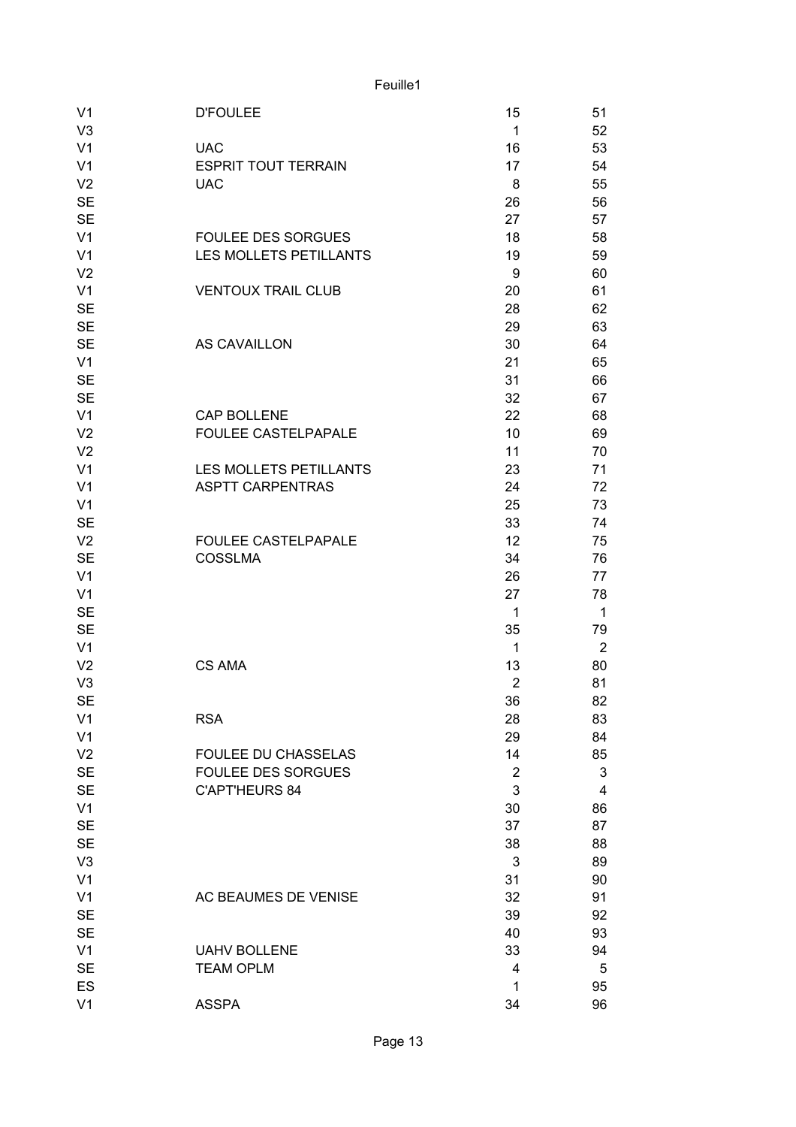| V <sub>1</sub> | <b>D'FOULEE</b>            | 15             | 51                   |
|----------------|----------------------------|----------------|----------------------|
| V3             |                            | $\mathbf{1}$   | 52                   |
| V <sub>1</sub> | <b>UAC</b>                 | 16             | 53                   |
| V <sub>1</sub> | <b>ESPRIT TOUT TERRAIN</b> | 17             | 54                   |
| V <sub>2</sub> | <b>UAC</b>                 | 8              | 55                   |
| <b>SE</b>      |                            | 26             | 56                   |
| <b>SE</b>      |                            | 27             | 57                   |
| V <sub>1</sub> | <b>FOULEE DES SORGUES</b>  | 18             | 58                   |
| V <sub>1</sub> | LES MOLLETS PETILLANTS     | 19             | 59                   |
| V <sub>2</sub> |                            | 9              | 60                   |
| V <sub>1</sub> | <b>VENTOUX TRAIL CLUB</b>  | 20             | 61                   |
| <b>SE</b>      |                            | 28             | 62                   |
| <b>SE</b>      |                            | 29             | 63                   |
| <b>SE</b>      | <b>AS CAVAILLON</b>        | 30             | 64                   |
| V <sub>1</sub> |                            | 21             | 65                   |
| <b>SE</b>      |                            | 31             | 66                   |
| <b>SE</b>      |                            | 32             | 67                   |
| V <sub>1</sub> | CAP BOLLENE                | 22             | 68                   |
| V <sub>2</sub> | <b>FOULEE CASTELPAPALE</b> | 10             | 69                   |
| V <sub>2</sub> |                            | 11             | 70                   |
| V <sub>1</sub> | LES MOLLETS PETILLANTS     | 23             | 71                   |
| V <sub>1</sub> | <b>ASPTT CARPENTRAS</b>    | 24             | 72                   |
| V <sub>1</sub> |                            | 25             | 73                   |
| <b>SE</b>      |                            | 33             | 74                   |
| V <sub>2</sub> | FOULEE CASTELPAPALE        | 12             | 75                   |
| <b>SE</b>      | <b>COSSLMA</b>             | 34             | 76                   |
| V <sub>1</sub> |                            | 26             | 77                   |
| V <sub>1</sub> |                            | 27             | 78                   |
| <b>SE</b>      |                            | $\mathbf 1$    | $\mathbf{1}$         |
| <b>SE</b>      |                            | 35             |                      |
| V <sub>1</sub> |                            |                | 79<br>$\overline{2}$ |
|                |                            | 1              |                      |
| V <sub>2</sub> | <b>CS AMA</b>              | 13             | 80                   |
| V3             |                            | $\overline{2}$ | 81                   |
| <b>SE</b>      |                            | 36             | 82                   |
| V <sub>1</sub> | <b>RSA</b>                 | 28             | 83                   |
| V <sub>1</sub> |                            | 29             | 84                   |
| V <sub>2</sub> | FOULEE DU CHASSELAS        | 14             | 85                   |
| <b>SE</b>      | <b>FOULEE DES SORGUES</b>  | $\overline{2}$ | 3                    |
| <b>SE</b>      | <b>C'APT'HEURS 84</b>      | 3              | 4                    |
| V <sub>1</sub> |                            | 30             | 86                   |
| <b>SE</b>      |                            | 37             | 87                   |
| <b>SE</b>      |                            | 38             | 88                   |
| V3             |                            | 3              | 89                   |
| V <sub>1</sub> |                            | 31             | 90                   |
| V <sub>1</sub> | AC BEAUMES DE VENISE       | 32             | 91                   |
| <b>SE</b>      |                            | 39             | 92                   |
| <b>SE</b>      |                            | 40             | 93                   |
| V <sub>1</sub> | <b>UAHV BOLLENE</b>        | 33             | 94                   |
| <b>SE</b>      | <b>TEAM OPLM</b>           | 4              | 5                    |
| ES             |                            | 1              | 95                   |
| V <sub>1</sub> | <b>ASSPA</b>               | 34             | 96                   |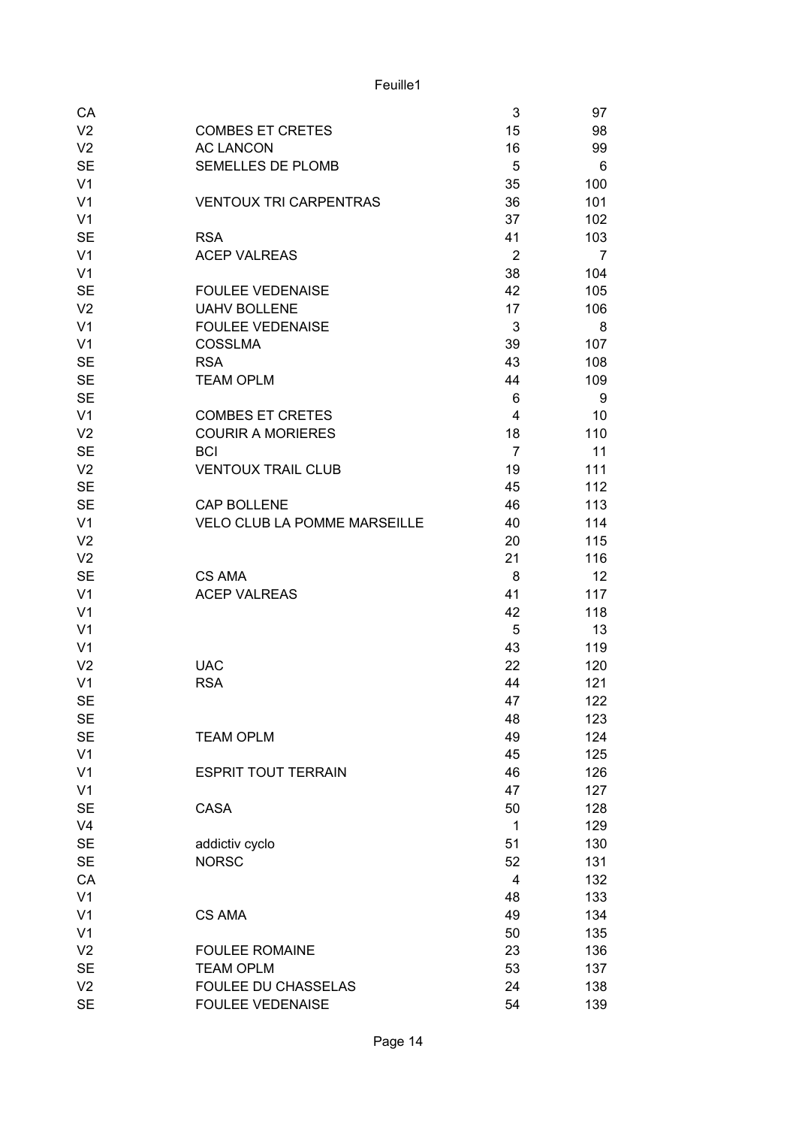| CA             |                               | 3              | 97             |
|----------------|-------------------------------|----------------|----------------|
| V <sub>2</sub> | <b>COMBES ET CRETES</b>       | 15             | 98             |
| V <sub>2</sub> | <b>AC LANCON</b>              | 16             | 99             |
| <b>SE</b>      | SEMELLES DE PLOMB             | 5              | 6              |
| V <sub>1</sub> |                               | 35             | 100            |
| V <sub>1</sub> | <b>VENTOUX TRI CARPENTRAS</b> | 36             | 101            |
| V <sub>1</sub> |                               | 37             | 102            |
| <b>SE</b>      | <b>RSA</b>                    | 41             | 103            |
| V <sub>1</sub> | <b>ACEP VALREAS</b>           | $\overline{2}$ | $\overline{7}$ |
| V <sub>1</sub> |                               | 38             | 104            |
| <b>SE</b>      | <b>FOULEE VEDENAISE</b>       | 42             | 105            |
| V <sub>2</sub> | <b>UAHV BOLLENE</b>           | 17             | 106            |
| V <sub>1</sub> | <b>FOULEE VEDENAISE</b>       | 3              | 8              |
| V <sub>1</sub> | <b>COSSLMA</b>                | 39             | 107            |
| <b>SE</b>      | <b>RSA</b>                    | 43             | 108            |
| <b>SE</b>      | <b>TEAM OPLM</b>              | 44             | 109            |
| <b>SE</b>      |                               | 6              | 9              |
| V <sub>1</sub> | <b>COMBES ET CRETES</b>       | 4              | 10             |
| V <sub>2</sub> | <b>COURIR A MORIERES</b>      | 18             | 110            |
| <b>SE</b>      | <b>BCI</b>                    | $\overline{7}$ | 11             |
| V <sub>2</sub> | <b>VENTOUX TRAIL CLUB</b>     | 19             | 111            |
| <b>SE</b>      |                               | 45             | 112            |
| <b>SE</b>      | <b>CAP BOLLENE</b>            | 46             | 113            |
| V <sub>1</sub> | VELO CLUB LA POMME MARSEILLE  | 40             | 114            |
| V <sub>2</sub> |                               | 20             |                |
|                |                               |                | 115            |
| V <sub>2</sub> |                               | 21             | 116            |
| <b>SE</b>      | CS AMA                        | 8              | 12             |
| V <sub>1</sub> | <b>ACEP VALREAS</b>           | 41             | 117            |
| V <sub>1</sub> |                               | 42             | 118            |
| V <sub>1</sub> |                               | 5              | 13             |
| V <sub>1</sub> |                               | 43             | 119            |
| V <sub>2</sub> | <b>UAC</b>                    | 22             | 120            |
| V <sub>1</sub> | <b>RSA</b>                    | 44             | 121            |
| <b>SE</b>      |                               | 47             | 122            |
| <b>SE</b>      |                               | 48             | 123            |
| <b>SE</b>      | <b>TEAM OPLM</b>              | 49             | 124            |
| V <sub>1</sub> |                               | 45             | 125            |
| V <sub>1</sub> | <b>ESPRIT TOUT TERRAIN</b>    | 46             | 126            |
| V <sub>1</sub> |                               | 47             | 127            |
| <b>SE</b>      | <b>CASA</b>                   | 50             | 128            |
| V <sub>4</sub> |                               | 1              | 129            |
| <b>SE</b>      | addictiv cyclo                | 51             | 130            |
| <b>SE</b>      | <b>NORSC</b>                  | 52             | 131            |
| CA             |                               | 4              | 132            |
| V <sub>1</sub> |                               | 48             | 133            |
| V <sub>1</sub> | CS AMA                        | 49             | 134            |
| V <sub>1</sub> |                               | 50             | 135            |
| V <sub>2</sub> | <b>FOULEE ROMAINE</b>         | 23             | 136            |
| <b>SE</b>      | <b>TEAM OPLM</b>              | 53             | 137            |
| V <sub>2</sub> | <b>FOULEE DU CHASSELAS</b>    | 24             | 138            |
| <b>SE</b>      | <b>FOULEE VEDENAISE</b>       | 54             | 139            |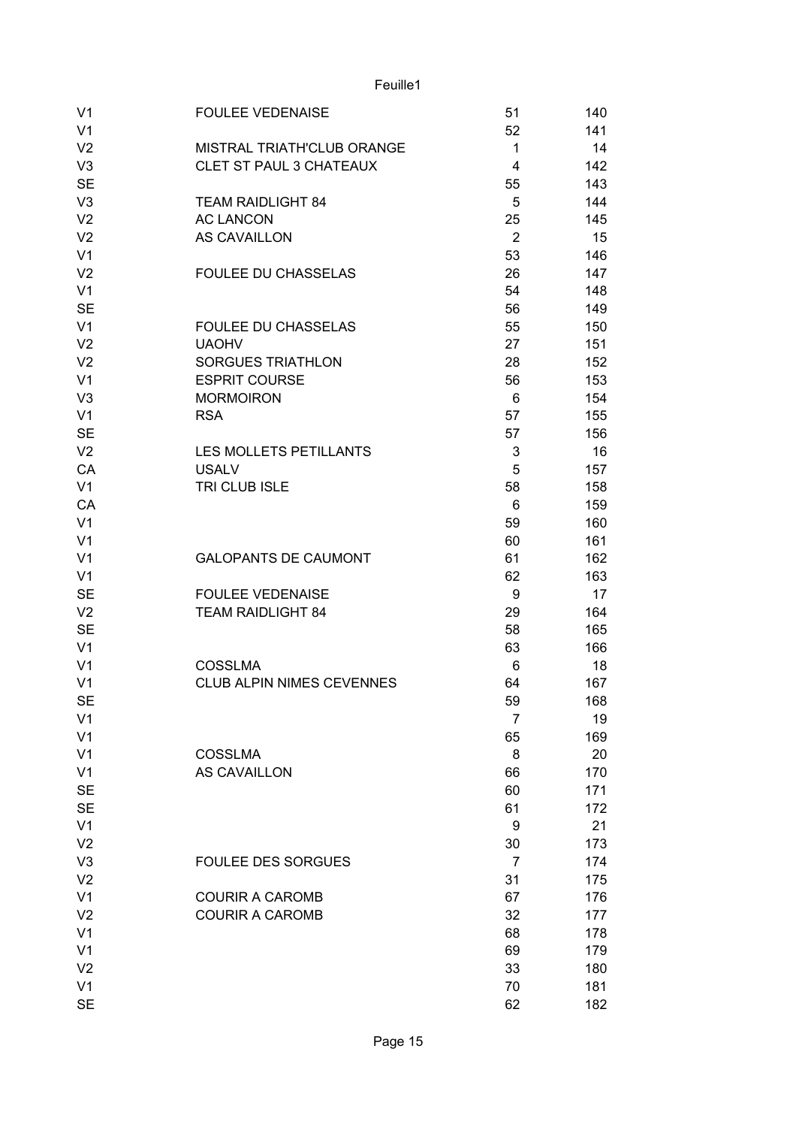|                | Feuille1                         |                |     |
|----------------|----------------------------------|----------------|-----|
| V <sub>1</sub> | <b>FOULEE VEDENAISE</b>          | 51             | 140 |
| V <sub>1</sub> |                                  | 52             | 141 |
| V <sub>2</sub> | MISTRAL TRIATH'CLUB ORANGE       | $\mathbf{1}$   | 14  |
| V <sub>3</sub> | CLET ST PAUL 3 CHATEAUX          | 4              | 142 |
| <b>SE</b>      |                                  | 55             | 143 |
| V <sub>3</sub> | <b>TEAM RAIDLIGHT 84</b>         | 5              | 144 |
| V <sub>2</sub> | <b>AC LANCON</b>                 | 25             | 145 |
| V <sub>2</sub> | <b>AS CAVAILLON</b>              | $\overline{2}$ | 15  |
| V <sub>1</sub> |                                  | 53             | 146 |
| V <sub>2</sub> | <b>FOULEE DU CHASSELAS</b>       | 26             | 147 |
|                |                                  |                |     |
| V <sub>1</sub> |                                  | 54             | 148 |
| <b>SE</b>      |                                  | 56             | 149 |
| V <sub>1</sub> | <b>FOULEE DU CHASSELAS</b>       | 55             | 150 |
| V <sub>2</sub> | <b>UAOHV</b>                     | 27             | 151 |
| V <sub>2</sub> | SORGUES TRIATHLON                | 28             | 152 |
| V <sub>1</sub> | <b>ESPRIT COURSE</b>             | 56             | 153 |
| V <sub>3</sub> | <b>MORMOIRON</b>                 | 6              | 154 |
| V <sub>1</sub> | <b>RSA</b>                       | 57             | 155 |
| <b>SE</b>      |                                  | 57             | 156 |
| V <sub>2</sub> | LES MOLLETS PETILLANTS           | 3              | 16  |
| CA             | <b>USALV</b>                     | 5              | 157 |
| V <sub>1</sub> | TRI CLUB ISLE                    | 58             | 158 |
| CA             |                                  | 6              | 159 |
| V <sub>1</sub> |                                  | 59             | 160 |
| V <sub>1</sub> |                                  | 60             | 161 |
| V <sub>1</sub> | <b>GALOPANTS DE CAUMONT</b>      | 61             | 162 |
| V <sub>1</sub> |                                  | 62             | 163 |
| <b>SE</b>      | <b>FOULEE VEDENAISE</b>          | 9              | 17  |
| V <sub>2</sub> | <b>TEAM RAIDLIGHT 84</b>         | 29             | 164 |
| <b>SE</b>      |                                  | 58             | 165 |
| V <sub>1</sub> |                                  | 63             | 166 |
| V <sub>1</sub> | <b>COSSLMA</b>                   | 6              | 18  |
| V <sub>1</sub> | <b>CLUB ALPIN NIMES CEVENNES</b> | 64             | 167 |
| <b>SE</b>      |                                  | 59             | 168 |
| V <sub>1</sub> |                                  | $\overline{7}$ | 19  |
| V <sub>1</sub> |                                  | 65             | 169 |
| V <sub>1</sub> | <b>COSSLMA</b>                   | 8              | 20  |
| V <sub>1</sub> | AS CAVAILLON                     | 66             | 170 |
| <b>SE</b>      |                                  | 60             | 171 |
| <b>SE</b>      |                                  | 61             | 172 |
| V <sub>1</sub> |                                  | 9              | 21  |
| V <sub>2</sub> |                                  | 30             | 173 |
| V <sub>3</sub> |                                  | $\overline{7}$ |     |
| V <sub>2</sub> | <b>FOULEE DES SORGUES</b>        |                | 174 |
|                |                                  | 31             | 175 |
| V <sub>1</sub> | <b>COURIR A CAROMB</b>           | 67             | 176 |
| V <sub>2</sub> | <b>COURIR A CAROMB</b>           | 32             | 177 |
| V <sub>1</sub> |                                  | 68             | 178 |
| V <sub>1</sub> |                                  | 69             | 179 |
| V <sub>2</sub> |                                  | 33             | 180 |
| V <sub>1</sub> |                                  | 70             | 181 |
| <b>SE</b>      |                                  | 62             | 182 |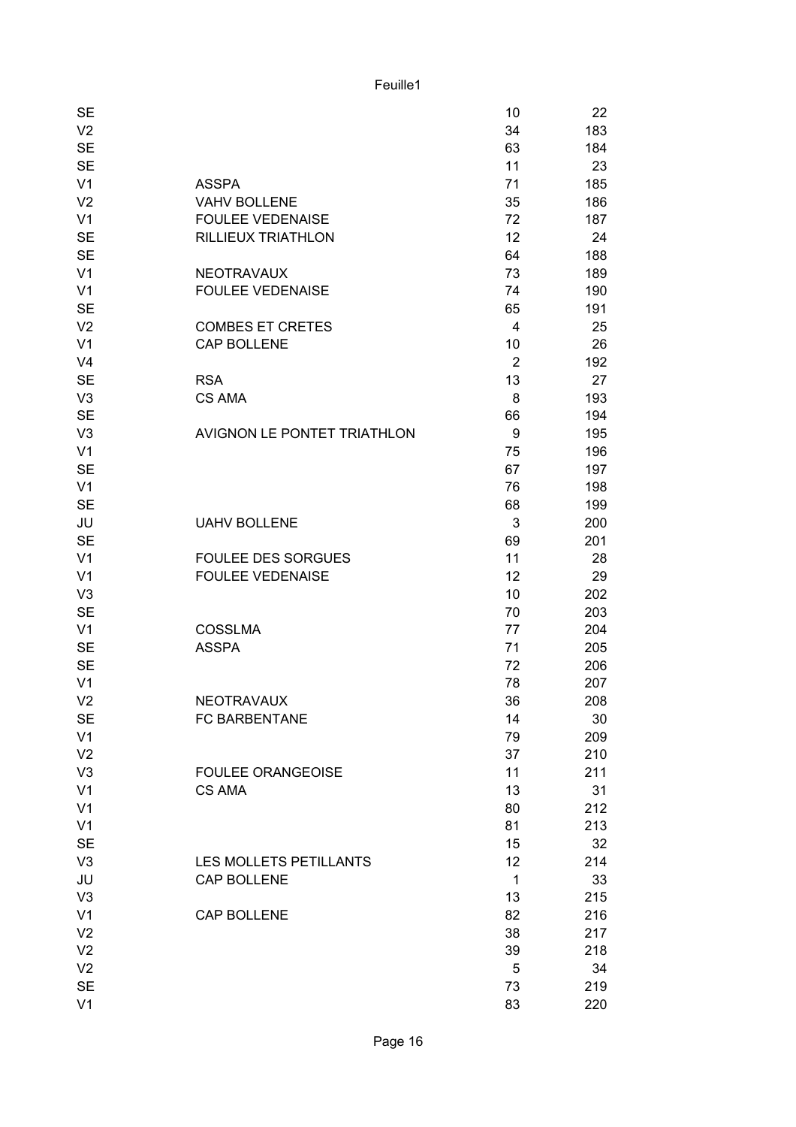| <b>SE</b>                   |                             | 10             | 22  |
|-----------------------------|-----------------------------|----------------|-----|
| V <sub>2</sub>              |                             | 34             | 183 |
| <b>SE</b>                   |                             | 63             | 184 |
| <b>SE</b>                   |                             | 11             | 23  |
| V <sub>1</sub>              | <b>ASSPA</b>                | 71             | 185 |
| V <sub>2</sub>              | <b>VAHV BOLLENE</b>         | 35             | 186 |
| V <sub>1</sub>              | <b>FOULEE VEDENAISE</b>     | 72             | 187 |
| <b>SE</b>                   | <b>RILLIEUX TRIATHLON</b>   | 12             | 24  |
| <b>SE</b>                   |                             | 64             | 188 |
| V <sub>1</sub>              | NEOTRAVAUX                  | 73             | 189 |
| V <sub>1</sub>              | <b>FOULEE VEDENAISE</b>     | 74             | 190 |
| <b>SE</b>                   |                             | 65             | 191 |
| V <sub>2</sub>              | <b>COMBES ET CRETES</b>     | 4              | 25  |
| V <sub>1</sub>              | CAP BOLLENE                 | 10             | 26  |
| V <sub>4</sub>              |                             | $\overline{2}$ | 192 |
| <b>SE</b>                   | <b>RSA</b>                  | 13             | 27  |
| V3                          | CS AMA                      | 8              | 193 |
| <b>SE</b>                   |                             | 66             | 194 |
| V3                          | AVIGNON LE PONTET TRIATHLON | 9              | 195 |
| V <sub>1</sub>              |                             | 75             | 196 |
| <b>SE</b>                   |                             | 67             | 197 |
| V <sub>1</sub>              |                             | 76             | 198 |
| <b>SE</b>                   |                             | 68             | 199 |
| JU                          | <b>UAHV BOLLENE</b>         | 3              | 200 |
| <b>SE</b>                   |                             | 69             | 201 |
| V <sub>1</sub>              | <b>FOULEE DES SORGUES</b>   | 11             | 28  |
| V <sub>1</sub>              | <b>FOULEE VEDENAISE</b>     | 12             | 29  |
| V3                          |                             | 10             | 202 |
| <b>SE</b>                   |                             | 70             | 203 |
| V <sub>1</sub>              | <b>COSSLMA</b>              | 77             | 204 |
| <b>SE</b>                   | <b>ASSPA</b>                | 71             | 205 |
| <b>SE</b>                   |                             | 72             | 206 |
| V <sub>1</sub>              |                             | 78             | 207 |
| V <sub>2</sub>              |                             |                |     |
|                             | NEOTRAVAUX                  | 36             | 208 |
| <b>SE</b><br>V <sub>1</sub> | <b>FC BARBENTANE</b>        | 14<br>79       | 30  |
|                             |                             |                | 209 |
| V <sub>2</sub>              |                             | 37<br>11       | 210 |
| V <sub>3</sub>              | <b>FOULEE ORANGEOISE</b>    |                | 211 |
| V <sub>1</sub>              | CS AMA                      | 13             | 31  |
| V <sub>1</sub>              |                             | 80             | 212 |
| V <sub>1</sub>              |                             | 81             | 213 |
| <b>SE</b>                   |                             | 15             | 32  |
| V <sub>3</sub>              | LES MOLLETS PETILLANTS      | 12             | 214 |
| JU                          | CAP BOLLENE                 | $\mathbf 1$    | 33  |
| V <sub>3</sub>              |                             | 13             | 215 |
| V <sub>1</sub>              | CAP BOLLENE                 | 82             | 216 |
| V <sub>2</sub>              |                             | 38             | 217 |
| V <sub>2</sub>              |                             | 39             | 218 |
| V <sub>2</sub>              |                             | 5              | 34  |
| <b>SE</b>                   |                             | 73             | 219 |
| V <sub>1</sub>              |                             | 83             | 220 |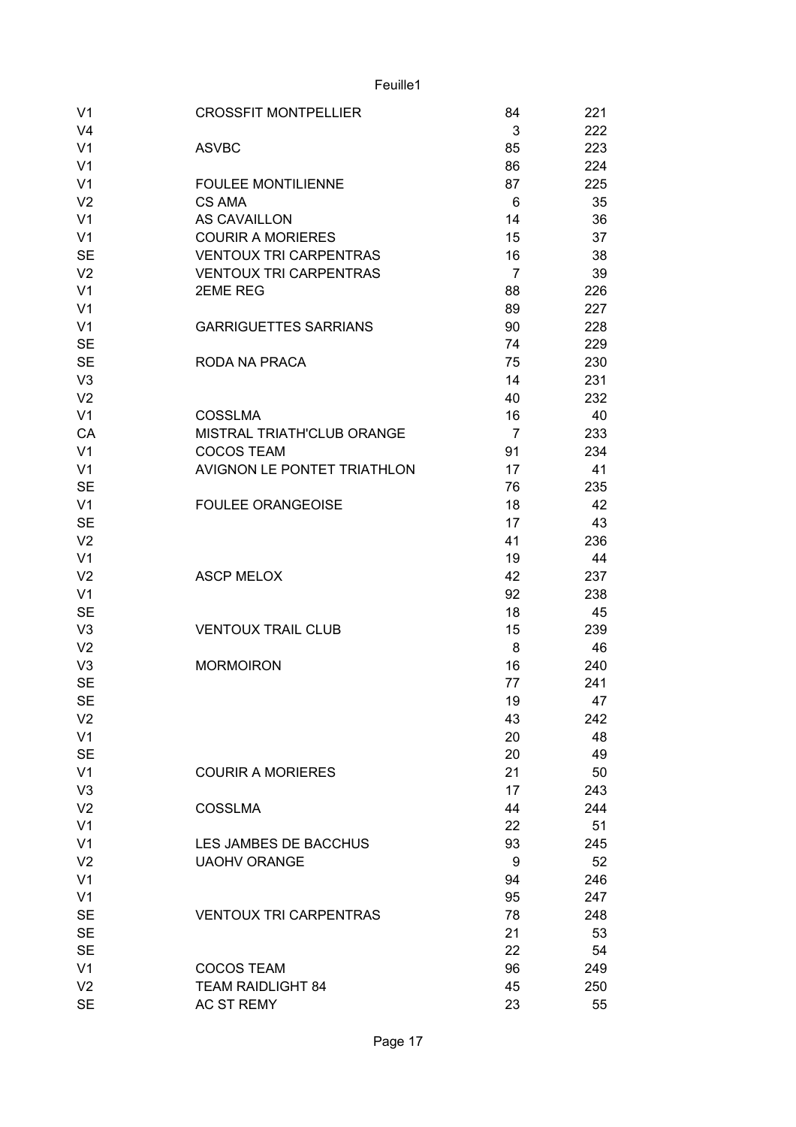|                      | Feuille1                      |    |     |
|----------------------|-------------------------------|----|-----|
| V <sub>1</sub>       | <b>CROSSFIT MONTPELLIER</b>   | 84 | 221 |
| V <sub>4</sub>       |                               | 3  | 222 |
| V <sub>1</sub>       | <b>ASVBC</b>                  | 85 | 223 |
| V <sub>1</sub>       |                               | 86 | 224 |
| V <sub>1</sub>       | <b>FOULEE MONTILIENNE</b>     | 87 | 225 |
| V <sub>2</sub>       | <b>CS AMA</b>                 | 6  | 35  |
| V <sub>1</sub>       | <b>AS CAVAILLON</b>           | 14 | 36  |
| V <sub>1</sub>       | <b>COURIR A MORIERES</b>      | 15 | 37  |
| <b>SE</b>            | <b>VENTOUX TRI CARPENTRAS</b> | 16 | 38  |
| V <sub>2</sub>       | <b>VENTOUX TRI CARPENTRAS</b> | 7  | 39  |
| V <sub>1</sub>       | 2EME REG                      | 88 | 226 |
| V <sub>1</sub>       |                               | 89 | 227 |
| V <sub>1</sub>       | <b>GARRIGUETTES SARRIANS</b>  | 90 | 228 |
| <b>SE</b>            |                               | 74 | 229 |
| <b>SE</b>            | RODA NA PRACA                 | 75 | 230 |
| V3                   |                               | 14 | 231 |
| V <sub>2</sub>       |                               | 40 | 232 |
| V <sub>1</sub>       | <b>COSSLMA</b>                | 16 | 40  |
|                      | MISTRAL TRIATH'CLUB ORANGE    | 7  |     |
| CA<br>V <sub>1</sub> |                               |    | 233 |
|                      | <b>COCOS TEAM</b>             | 91 | 234 |
| V <sub>1</sub>       | AVIGNON LE PONTET TRIATHLON   | 17 | 41  |
| <b>SE</b>            |                               | 76 | 235 |
| V <sub>1</sub>       | <b>FOULEE ORANGEOISE</b>      | 18 | 42  |
| <b>SE</b>            |                               | 17 | 43  |
| V <sub>2</sub>       |                               | 41 | 236 |
| V <sub>1</sub>       |                               | 19 | 44  |
| V <sub>2</sub>       | <b>ASCP MELOX</b>             | 42 | 237 |
| V <sub>1</sub>       |                               | 92 | 238 |
| <b>SE</b>            |                               | 18 | 45  |
| V <sub>3</sub>       | <b>VENTOUX TRAIL CLUB</b>     | 15 | 239 |
| V <sub>2</sub>       |                               | 8  | 46  |
| V <sub>3</sub>       | <b>MORMOIRON</b>              | 16 | 240 |
| <b>SE</b>            |                               | 77 | 241 |
| <b>SE</b>            |                               | 19 | 47  |
| V <sub>2</sub>       |                               | 43 | 242 |
| V <sub>1</sub>       |                               | 20 | 48  |
| <b>SE</b>            |                               | 20 | 49  |
| V <sub>1</sub>       | <b>COURIR A MORIERES</b>      | 21 | 50  |
| V <sub>3</sub>       |                               | 17 | 243 |
| V <sub>2</sub>       | <b>COSSLMA</b>                | 44 | 244 |
| V <sub>1</sub>       |                               | 22 | 51  |
| V <sub>1</sub>       | LES JAMBES DE BACCHUS         | 93 | 245 |
| V <sub>2</sub>       | <b>UAOHV ORANGE</b>           | 9  | 52  |
| V <sub>1</sub>       |                               | 94 | 246 |
| V <sub>1</sub>       |                               | 95 | 247 |
| <b>SE</b>            | <b>VENTOUX TRI CARPENTRAS</b> | 78 | 248 |
| <b>SE</b>            |                               | 21 | 53  |
| <b>SE</b>            |                               | 22 | 54  |
| V <sub>1</sub>       | <b>COCOS TEAM</b>             | 96 | 249 |
| V <sub>2</sub>       | <b>TEAM RAIDLIGHT 84</b>      | 45 | 250 |
| <b>SE</b>            | AC ST REMY                    | 23 | 55  |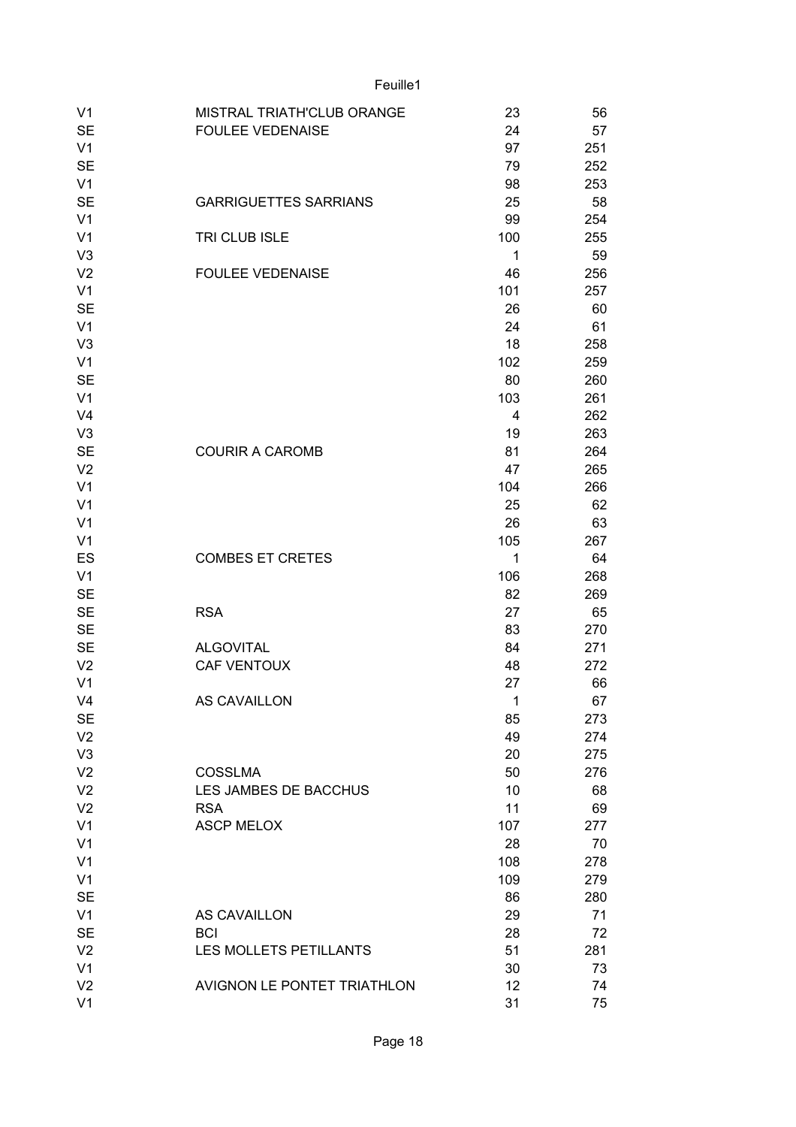|--|

| V <sub>1</sub> | MISTRAL TRIATH'CLUB ORANGE   | 23          | 56       |
|----------------|------------------------------|-------------|----------|
| <b>SE</b>      | <b>FOULEE VEDENAISE</b>      | 24          | 57       |
| V <sub>1</sub> |                              | 97          | 251      |
| <b>SE</b>      |                              | 79          | 252      |
| V <sub>1</sub> |                              | 98          | 253      |
| <b>SE</b>      |                              |             |          |
|                | <b>GARRIGUETTES SARRIANS</b> | 25          | 58       |
| V <sub>1</sub> |                              | 99          | 254      |
| V <sub>1</sub> | TRI CLUB ISLE                | 100         | 255      |
| V <sub>3</sub> |                              | 1           | 59       |
| V <sub>2</sub> | <b>FOULEE VEDENAISE</b>      | 46          | 256      |
| V <sub>1</sub> |                              | 101         | 257      |
| <b>SE</b>      |                              | 26          | 60       |
| V <sub>1</sub> |                              | 24          | 61       |
| V <sub>3</sub> |                              | 18          | 258      |
| V <sub>1</sub> |                              | 102         | 259      |
| <b>SE</b>      |                              | 80          | 260      |
| V <sub>1</sub> |                              | 103         | 261      |
| V <sub>4</sub> |                              | 4           | 262      |
| V <sub>3</sub> |                              | 19          | 263      |
| <b>SE</b>      | <b>COURIR A CAROMB</b>       | 81          | 264      |
| V <sub>2</sub> |                              | 47          | 265      |
| V <sub>1</sub> |                              | 104         | 266      |
| V <sub>1</sub> |                              | 25          | 62       |
| V <sub>1</sub> |                              | 26          | 63       |
| V <sub>1</sub> |                              | 105         | 267      |
| ES             | <b>COMBES ET CRETES</b>      | 1           | 64       |
| V <sub>1</sub> |                              | 106         | 268      |
| <b>SE</b>      |                              | 82          | 269      |
| <b>SE</b>      | <b>RSA</b>                   | 27          | 65       |
| <b>SE</b>      |                              | 83          | 270      |
| <b>SE</b>      | <b>ALGOVITAL</b>             | 84          | 271      |
| V <sub>2</sub> | <b>CAF VENTOUX</b>           | 48          | 272      |
| V <sub>1</sub> |                              | 27          |          |
|                |                              |             | 66<br>67 |
| V <sub>4</sub> | AS CAVAILLON                 | $\mathbf 1$ |          |
| <b>SE</b>      |                              | 85          | 273      |
| V <sub>2</sub> |                              | 49          | 274      |
| V <sub>3</sub> |                              | 20          | 275      |
| V <sub>2</sub> | <b>COSSLMA</b>               | 50          | 276      |
| V <sub>2</sub> | LES JAMBES DE BACCHUS        | 10          | 68       |
| V <sub>2</sub> | <b>RSA</b>                   | 11          | 69       |
| V <sub>1</sub> | <b>ASCP MELOX</b>            | 107         | 277      |
| V <sub>1</sub> |                              | 28          | 70       |
| V <sub>1</sub> |                              | 108         | 278      |
| V <sub>1</sub> |                              | 109         | 279      |
| <b>SE</b>      |                              | 86          | 280      |
| V <sub>1</sub> | AS CAVAILLON                 | 29          | 71       |
| <b>SE</b>      | <b>BCI</b>                   | 28          | 72       |
| V <sub>2</sub> | LES MOLLETS PETILLANTS       | 51          | 281      |
| V <sub>1</sub> |                              | 30          | 73       |
| V <sub>2</sub> | AVIGNON LE PONTET TRIATHLON  | 12          | 74       |
| V <sub>1</sub> |                              | 31          | 75       |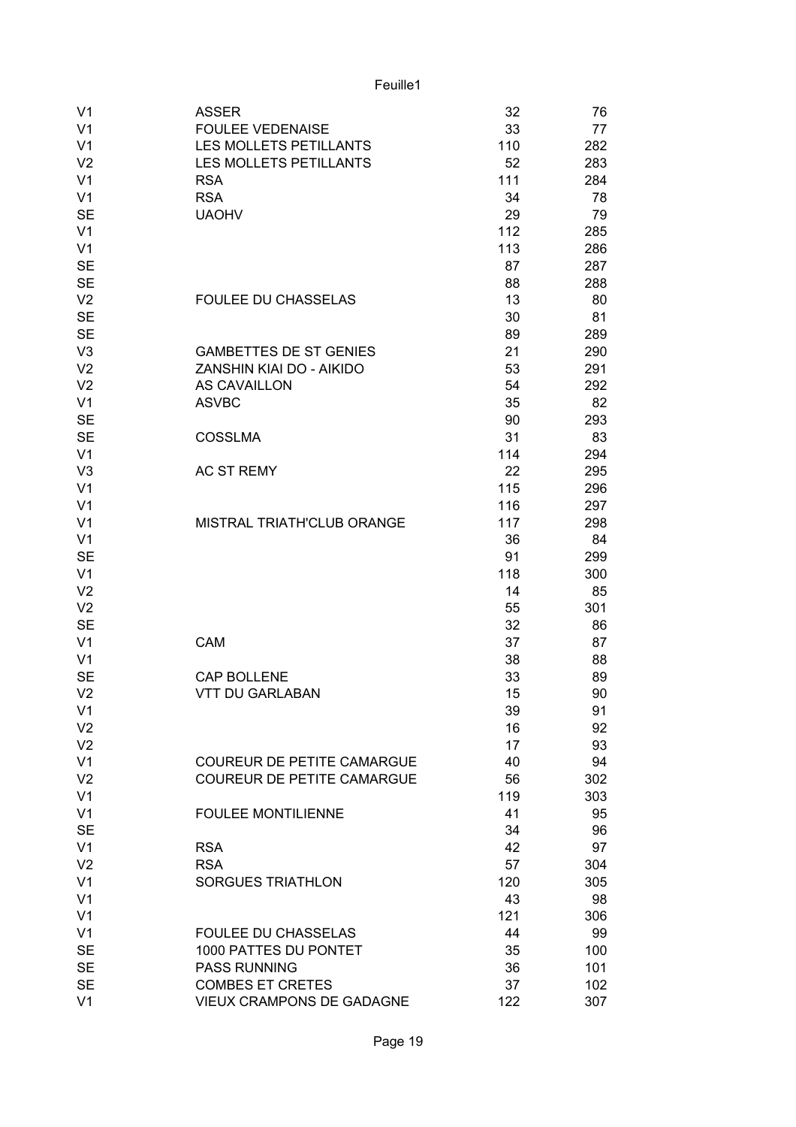| V <sub>1</sub> | <b>ASSER</b>                      | 32  | 76  |
|----------------|-----------------------------------|-----|-----|
| V <sub>1</sub> | <b>FOULEE VEDENAISE</b>           | 33  | 77  |
| V <sub>1</sub> | LES MOLLETS PETILLANTS            | 110 | 282 |
| V <sub>2</sub> | LES MOLLETS PETILLANTS            | 52  | 283 |
| V <sub>1</sub> | <b>RSA</b>                        | 111 | 284 |
| V <sub>1</sub> | <b>RSA</b>                        | 34  | 78  |
| <b>SE</b>      | <b>UAOHV</b>                      | 29  | 79  |
| V <sub>1</sub> |                                   | 112 | 285 |
| V <sub>1</sub> |                                   | 113 | 286 |
| <b>SE</b>      |                                   | 87  | 287 |
| <b>SE</b>      |                                   | 88  | 288 |
| V <sub>2</sub> | FOULEE DU CHASSELAS               | 13  | 80  |
| <b>SE</b>      |                                   | 30  | 81  |
| <b>SE</b>      |                                   | 89  | 289 |
| V <sub>3</sub> | <b>GAMBETTES DE ST GENIES</b>     | 21  | 290 |
| V <sub>2</sub> | ZANSHIN KIAI DO - AIKIDO          | 53  | 291 |
| V <sub>2</sub> | <b>AS CAVAILLON</b>               | 54  | 292 |
| V <sub>1</sub> | <b>ASVBC</b>                      | 35  | 82  |
| <b>SE</b>      |                                   | 90  | 293 |
| <b>SE</b>      | <b>COSSLMA</b>                    | 31  | 83  |
| V <sub>1</sub> |                                   | 114 | 294 |
| V <sub>3</sub> | <b>AC ST REMY</b>                 | 22  | 295 |
| V <sub>1</sub> |                                   | 115 | 296 |
| V <sub>1</sub> |                                   | 116 | 297 |
| V <sub>1</sub> | MISTRAL TRIATH'CLUB ORANGE        | 117 | 298 |
| V <sub>1</sub> |                                   | 36  | 84  |
| <b>SE</b>      |                                   | 91  | 299 |
| V <sub>1</sub> |                                   | 118 | 300 |
| V <sub>2</sub> |                                   | 14  | 85  |
| V <sub>2</sub> |                                   | 55  | 301 |
| <b>SE</b>      |                                   | 32  | 86  |
| V <sub>1</sub> | CAM                               | 37  | 87  |
| V <sub>1</sub> |                                   | 38  | 88  |
| <b>SE</b>      | CAP BOLLENE                       | 33  | 89  |
| V <sub>2</sub> | <b>VTT DU GARLABAN</b>            | 15  | 90  |
| V <sub>1</sub> |                                   | 39  | 91  |
| V <sub>2</sub> |                                   | 16  | 92  |
| V <sub>2</sub> |                                   | 17  | 93  |
| V <sub>1</sub> | COUREUR DE PETITE CAMARGUE        | 40  | 94  |
| V <sub>2</sub> | <b>COUREUR DE PETITE CAMARGUE</b> | 56  | 302 |
| V <sub>1</sub> |                                   | 119 | 303 |
| V <sub>1</sub> | <b>FOULEE MONTILIENNE</b>         | 41  | 95  |
| <b>SE</b>      |                                   | 34  | 96  |
| V <sub>1</sub> | <b>RSA</b>                        | 42  | 97  |
| V <sub>2</sub> | <b>RSA</b>                        | 57  | 304 |
| V <sub>1</sub> | <b>SORGUES TRIATHLON</b>          | 120 | 305 |
| V <sub>1</sub> |                                   | 43  | 98  |
| V <sub>1</sub> |                                   | 121 | 306 |
| V <sub>1</sub> | <b>FOULEE DU CHASSELAS</b>        | 44  | 99  |
| <b>SE</b>      | 1000 PATTES DU PONTET             | 35  | 100 |
| <b>SE</b>      | <b>PASS RUNNING</b>               | 36  | 101 |
| <b>SE</b>      | <b>COMBES ET CRETES</b>           | 37  | 102 |
| V <sub>1</sub> | VIEUX CRAMPONS DE GADAGNE         | 122 | 307 |
|                |                                   |     |     |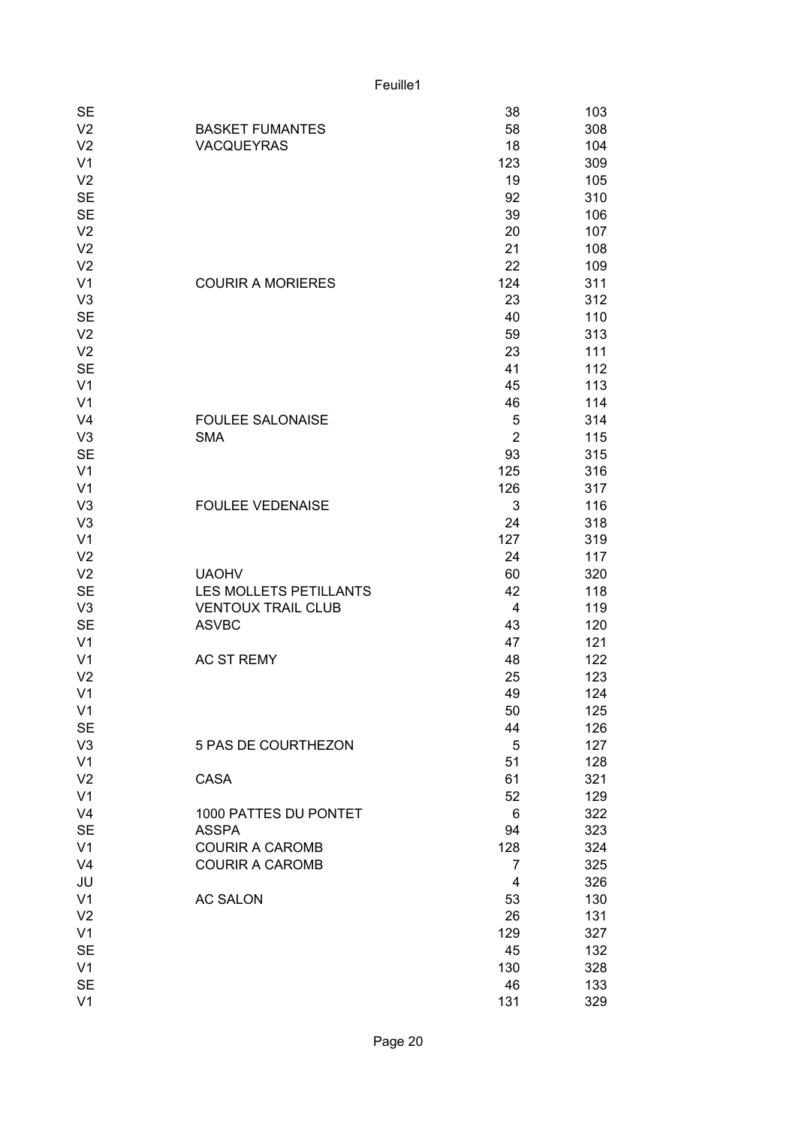| <b>SE</b>      |                           | 38             | 103 |
|----------------|---------------------------|----------------|-----|
| V <sub>2</sub> | <b>BASKET FUMANTES</b>    | 58             | 308 |
| V <sub>2</sub> | VACQUEYRAS                | 18             | 104 |
| V <sub>1</sub> |                           | 123            | 309 |
| V <sub>2</sub> |                           | 19             | 105 |
| <b>SE</b>      |                           | 92             | 310 |
| <b>SE</b>      |                           | 39             | 106 |
| V <sub>2</sub> |                           | 20             | 107 |
| V <sub>2</sub> |                           | 21             | 108 |
| V <sub>2</sub> |                           | 22             | 109 |
| V <sub>1</sub> | <b>COURIR A MORIERES</b>  | 124            | 311 |
| V3             |                           | 23             | 312 |
| <b>SE</b>      |                           | 40             | 110 |
| V <sub>2</sub> |                           | 59             | 313 |
| V <sub>2</sub> |                           | 23             | 111 |
| <b>SE</b>      |                           | 41             | 112 |
| V <sub>1</sub> |                           | 45             | 113 |
| V <sub>1</sub> |                           | 46             | 114 |
| V <sub>4</sub> | <b>FOULEE SALONAISE</b>   | 5              | 314 |
| V3             | <b>SMA</b>                | $\overline{2}$ | 115 |
| <b>SE</b>      |                           | 93             | 315 |
| V <sub>1</sub> |                           | 125            | 316 |
| V <sub>1</sub> |                           | 126            | 317 |
| V3             | <b>FOULEE VEDENAISE</b>   | 3              | 116 |
| V3             |                           | 24             | 318 |
| V <sub>1</sub> |                           | 127            | 319 |
| V <sub>2</sub> |                           | 24             | 117 |
| V <sub>2</sub> | <b>UAOHV</b>              | 60             | 320 |
| <b>SE</b>      | LES MOLLETS PETILLANTS    | 42             | 118 |
| V3             | <b>VENTOUX TRAIL CLUB</b> | $\overline{4}$ | 119 |
| <b>SE</b>      | <b>ASVBC</b>              | 43             | 120 |
| V <sub>1</sub> |                           | 47             | 121 |
| V <sub>1</sub> | <b>AC ST REMY</b>         | 48             | 122 |
| V <sub>2</sub> |                           | 25             | 123 |
| V <sub>1</sub> |                           | 49             | 124 |
| V <sub>1</sub> |                           | 50             | 125 |
| <b>SE</b>      |                           | 44             | 126 |
| V <sub>3</sub> | 5 PAS DE COURTHEZON       | 5              | 127 |
| V <sub>1</sub> |                           | 51             | 128 |
| V <sub>2</sub> | <b>CASA</b>               | 61             | 321 |
| V <sub>1</sub> |                           | 52             | 129 |
| V <sub>4</sub> | 1000 PATTES DU PONTET     | 6              | 322 |
| <b>SE</b>      | <b>ASSPA</b>              | 94             | 323 |
| V <sub>1</sub> | <b>COURIR A CAROMB</b>    | 128            | 324 |
| V <sub>4</sub> | <b>COURIR A CAROMB</b>    | 7              | 325 |
| JU             |                           | $\overline{4}$ | 326 |
| V <sub>1</sub> | <b>AC SALON</b>           | 53             | 130 |
| V <sub>2</sub> |                           | 26             | 131 |
| V <sub>1</sub> |                           | 129            | 327 |
| <b>SE</b>      |                           | 45             | 132 |
| V <sub>1</sub> |                           | 130            | 328 |
| <b>SE</b>      |                           | 46             | 133 |
| V <sub>1</sub> |                           | 131            | 329 |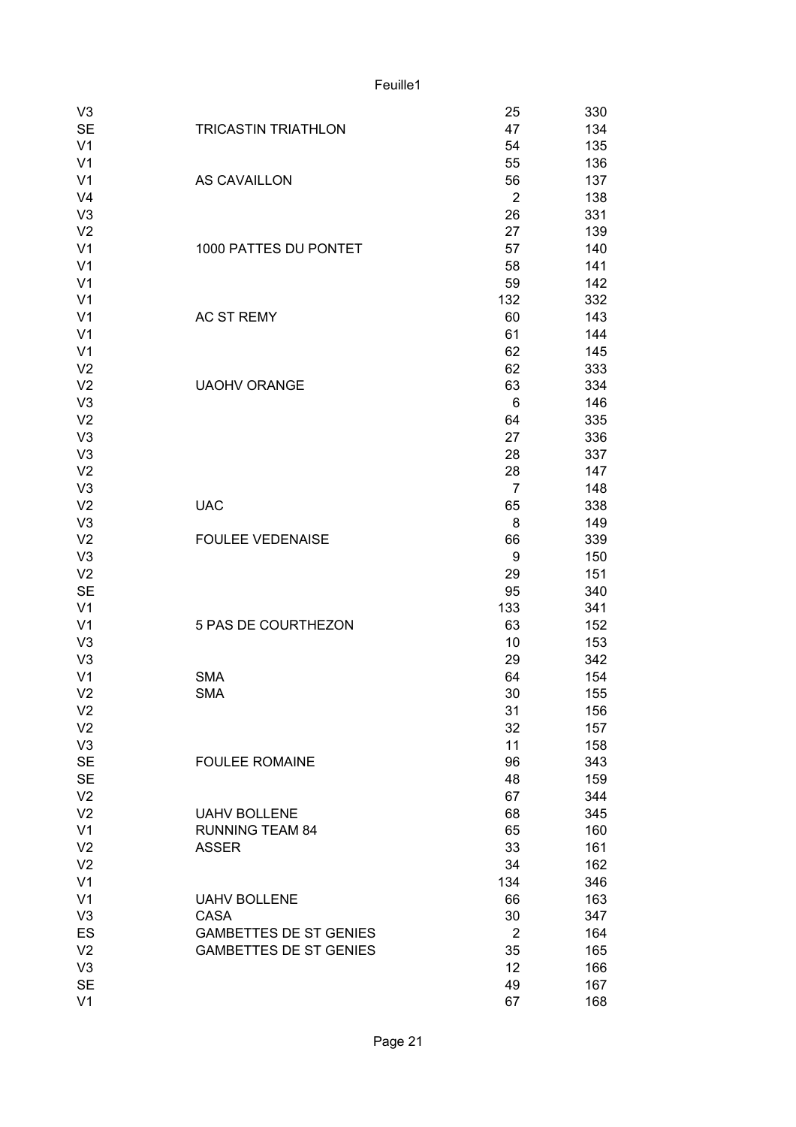| V <sub>3</sub> |                               | 25             | 330 |
|----------------|-------------------------------|----------------|-----|
| <b>SE</b>      | <b>TRICASTIN TRIATHLON</b>    | 47             | 134 |
| V <sub>1</sub> |                               | 54             | 135 |
| V <sub>1</sub> |                               | 55             | 136 |
| V <sub>1</sub> | AS CAVAILLON                  | 56             | 137 |
| V <sub>4</sub> |                               | $\overline{2}$ | 138 |
| V <sub>3</sub> |                               | 26             | 331 |
| V <sub>2</sub> |                               | 27             | 139 |
| V <sub>1</sub> | 1000 PATTES DU PONTET         | 57             | 140 |
| V <sub>1</sub> |                               | 58             | 141 |
| V <sub>1</sub> |                               | 59             | 142 |
| V <sub>1</sub> |                               | 132            | 332 |
| V <sub>1</sub> | <b>AC ST REMY</b>             | 60             | 143 |
| V <sub>1</sub> |                               | 61             | 144 |
| V <sub>1</sub> |                               | 62             | 145 |
| V <sub>2</sub> |                               | 62             | 333 |
| V <sub>2</sub> | <b>UAOHV ORANGE</b>           | 63             | 334 |
| V <sub>3</sub> |                               | 6              | 146 |
| V <sub>2</sub> |                               | 64             | 335 |
| V <sub>3</sub> |                               | 27             | 336 |
| V <sub>3</sub> |                               | 28             | 337 |
| V <sub>2</sub> |                               | 28             | 147 |
| V <sub>3</sub> |                               | 7              | 148 |
| V <sub>2</sub> | <b>UAC</b>                    | 65             | 338 |
| V <sub>3</sub> |                               | 8              | 149 |
| V <sub>2</sub> | <b>FOULEE VEDENAISE</b>       | 66             | 339 |
| V <sub>3</sub> |                               | 9              | 150 |
| V <sub>2</sub> |                               | 29             | 151 |
| <b>SE</b>      |                               | 95             | 340 |
| V <sub>1</sub> |                               | 133            | 341 |
| V <sub>1</sub> | 5 PAS DE COURTHEZON           | 63             | 152 |
| V3             |                               | 10             | 153 |
| V <sub>3</sub> |                               | 29             | 342 |
| V <sub>1</sub> | <b>SMA</b>                    | 64             | 154 |
| V <sub>2</sub> | <b>SMA</b>                    | 30             | 155 |
| V <sub>2</sub> |                               | 31             | 156 |
| V <sub>2</sub> |                               | 32             | 157 |
| V <sub>3</sub> |                               | 11             | 158 |
| <b>SE</b>      | <b>FOULEE ROMAINE</b>         | 96             | 343 |
| <b>SE</b>      |                               | 48             | 159 |
| V <sub>2</sub> |                               | 67             | 344 |
| V <sub>2</sub> | <b>UAHV BOLLENE</b>           | 68             | 345 |
| V <sub>1</sub> | <b>RUNNING TEAM 84</b>        | 65             | 160 |
| V <sub>2</sub> | <b>ASSER</b>                  | 33             | 161 |
| V <sub>2</sub> |                               | 34             | 162 |
| V <sub>1</sub> |                               | 134            | 346 |
| V <sub>1</sub> | <b>UAHV BOLLENE</b>           | 66             | 163 |
| V <sub>3</sub> | <b>CASA</b>                   | 30             | 347 |
| ES             | <b>GAMBETTES DE ST GENIES</b> | $\overline{2}$ | 164 |
| V <sub>2</sub> | <b>GAMBETTES DE ST GENIES</b> | 35             | 165 |
| V <sub>3</sub> |                               | 12             | 166 |
| <b>SE</b>      |                               | 49             | 167 |
| V <sub>1</sub> |                               | 67             | 168 |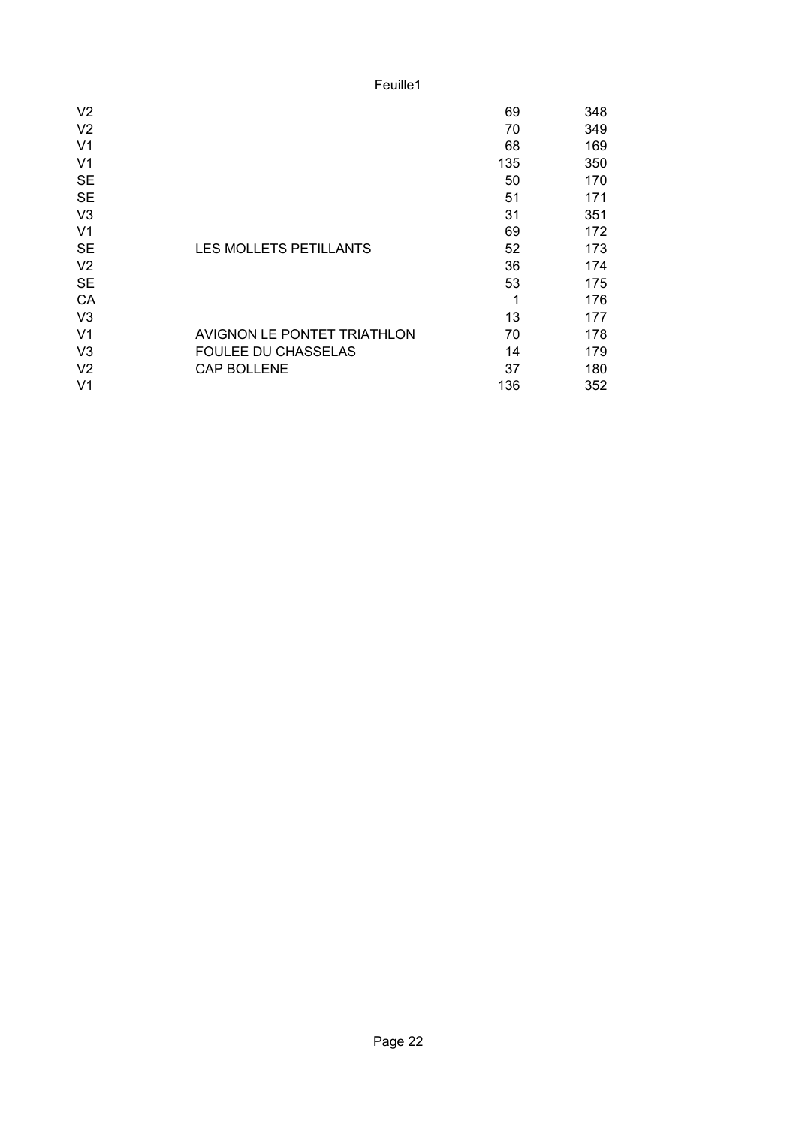| V <sub>2</sub> |                             | 69  | 348 |
|----------------|-----------------------------|-----|-----|
| V <sub>2</sub> |                             | 70  | 349 |
| V <sub>1</sub> |                             | 68  | 169 |
| V <sub>1</sub> |                             | 135 | 350 |
| <b>SE</b>      |                             | 50  | 170 |
| <b>SE</b>      |                             | 51  | 171 |
| V <sub>3</sub> |                             | 31  | 351 |
| V <sub>1</sub> |                             | 69  | 172 |
| <b>SE</b>      | LES MOLLETS PETILLANTS      | 52  | 173 |
| V <sub>2</sub> |                             | 36  | 174 |
| <b>SE</b>      |                             | 53  | 175 |
| CA             |                             | 1   | 176 |
| V <sub>3</sub> |                             | 13  | 177 |
| V <sub>1</sub> | AVIGNON LE PONTET TRIATHLON | 70  | 178 |
| V <sub>3</sub> | <b>FOULEE DU CHASSELAS</b>  | 14  | 179 |
| V <sub>2</sub> | CAP BOLLENE                 | 37  | 180 |
| V1             |                             | 136 | 352 |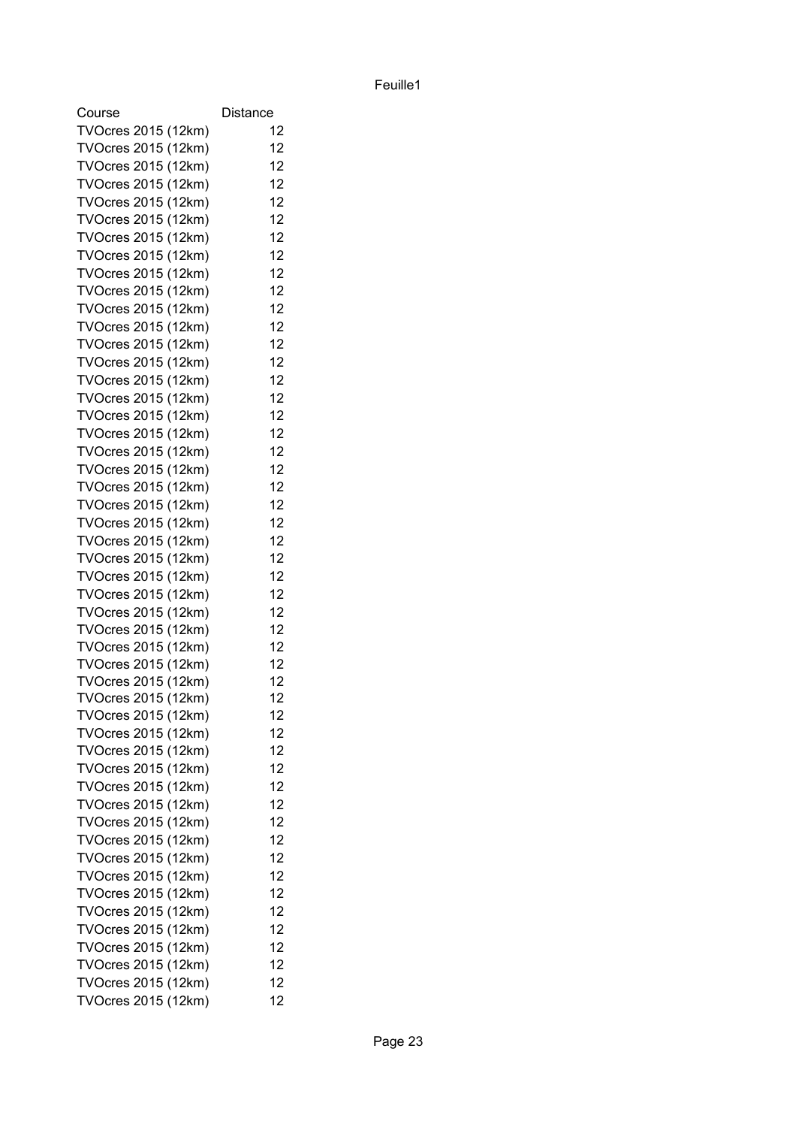| Course              | Distance |
|---------------------|----------|
| TVOcres 2015 (12km) | 12       |
| TVOcres 2015 (12km) | 12       |
| TVOcres 2015 (12km) | 12       |
| TVOcres 2015 (12km) | 12       |
| TVOcres 2015 (12km) | 12       |
| TVOcres 2015 (12km) | 12       |
| TVOcres 2015 (12km) | 12       |
| TVOcres 2015 (12km) | 12       |
| TVOcres 2015 (12km) | 12       |
| TVOcres 2015 (12km) | 12       |
| TVOcres 2015 (12km) | 12       |
| TVOcres 2015 (12km) | 12       |
| TVOcres 2015 (12km) | 12       |
| TVOcres 2015 (12km) | 12       |
|                     | 12       |
| TVOcres 2015 (12km) |          |
| TVOcres 2015 (12km) | 12       |
| TVOcres 2015 (12km) | 12       |
| TVOcres 2015 (12km) | 12       |
| TVOcres 2015 (12km) | 12       |
| TVOcres 2015 (12km) | 12       |
| TVOcres 2015 (12km) | 12       |
| TVOcres 2015 (12km) | 12       |
| TVOcres 2015 (12km) | 12       |
| TVOcres 2015 (12km) | 12       |
| TVOcres 2015 (12km) | 12       |
| TVOcres 2015 (12km) | 12       |
| TVOcres 2015 (12km) | 12       |
| TVOcres 2015 (12km) | 12       |
| TVOcres 2015 (12km) | 12       |
| TVOcres 2015 (12km) | 12       |
| TVOcres 2015 (12km) | 12       |
| TVOcres 2015 (12km) | 12       |
| TVOcres 2015 (12km) | 12       |
| TVOcres 2015 (12km) | 12       |
| TVOcres 2015 (12km) | 12       |
| TVOcres 2015 (12km) | 12       |
| TVOcres 2015 (12km) | 12       |
| TVOcres 2015 (12km) | 12       |
| TVOcres 2015 (12km) | 12       |
| TVOcres 2015 (12km) | 12       |
| TVOcres 2015 (12km) | 12       |
| TVOcres 2015 (12km) | 12       |
| TVOcres 2015 (12km) | 12       |
| TVOcres 2015 (12km) | 12       |
| TVOcres 2015 (12km) | 12       |
| TVOcres 2015 (12km) | 12       |
| TVOcres 2015 (12km) | 12       |
| TVOcres 2015 (12km) | 12       |
| TVOcres 2015 (12km) | 12       |
|                     | 12       |
| TVOcres 2015 (12km) |          |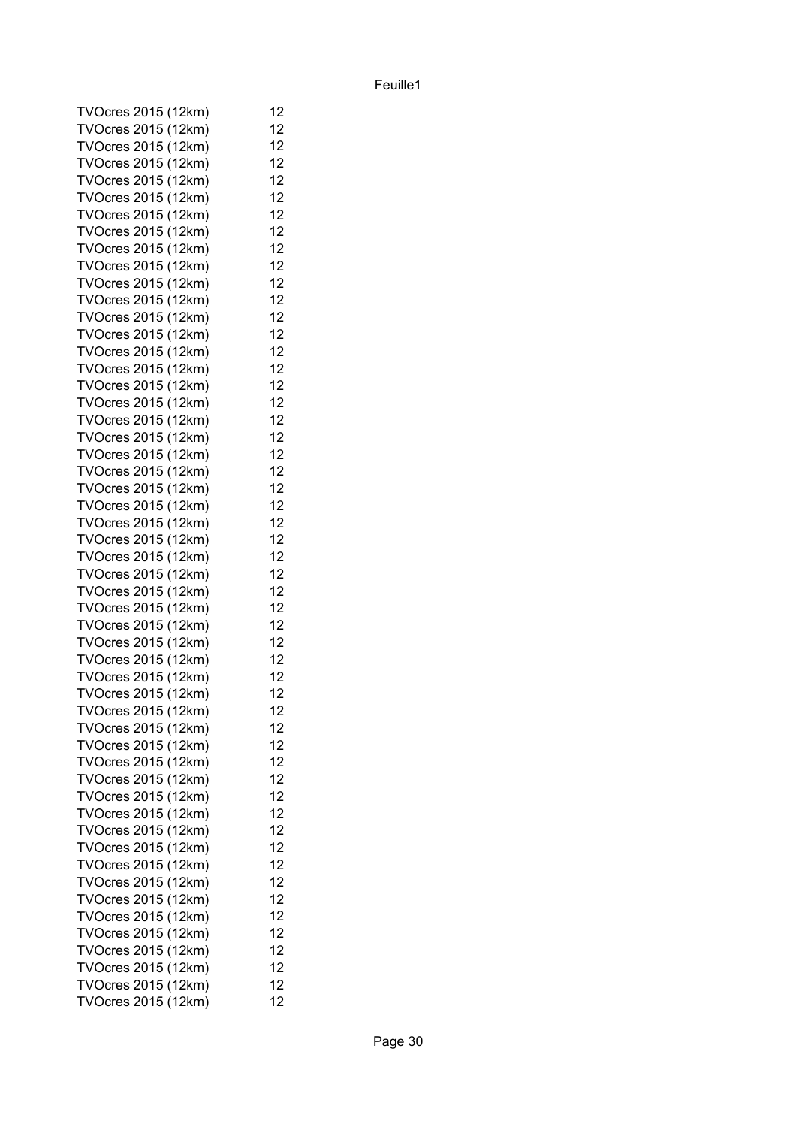| TVOcres 2015 (12km) | 12 |
|---------------------|----|
| TVOcres 2015 (12km) | 12 |
| TVOcres 2015 (12km) | 12 |
| TVOcres 2015 (12km) | 12 |
| TVOcres 2015 (12km) | 12 |
| TVOcres 2015 (12km) | 12 |
| TVOcres 2015 (12km) | 12 |
| TVOcres 2015 (12km) | 12 |
| TVOcres 2015 (12km) | 12 |
| TVOcres 2015 (12km) | 12 |
| TVOcres 2015 (12km) | 12 |
| TVOcres 2015 (12km) | 12 |
| TVOcres 2015 (12km) | 12 |
| TVOcres 2015 (12km) | 12 |
| TVOcres 2015 (12km) | 12 |
|                     | 12 |
| TVOcres 2015 (12km) | 12 |
| TVOcres 2015 (12km) |    |
| TVOcres 2015 (12km) | 12 |
| TVOcres 2015 (12km) | 12 |
| TVOcres 2015 (12km) | 12 |
| TVOcres 2015 (12km) | 12 |
| TVOcres 2015 (12km) | 12 |
| TVOcres 2015 (12km) | 12 |
| TVOcres 2015 (12km) | 12 |
| TVOcres 2015 (12km) | 12 |
| TVOcres 2015 (12km) | 12 |
| TVOcres 2015 (12km) | 12 |
| TVOcres 2015 (12km) | 12 |
| TVOcres 2015 (12km) | 12 |
| TVOcres 2015 (12km) | 12 |
| TVOcres 2015 (12km) | 12 |
| TVOcres 2015 (12km) | 12 |
| TVOcres 2015 (12km) | 12 |
| TVOcres 2015 (12km) | 12 |
| TVOcres 2015 (12km) | 12 |
| TVOcres 2015 (12km) | 12 |
| TVOcres 2015 (12km) | 12 |
| TVOcres 2015 (12km) | 12 |
| TVOcres 2015 (12km) | 12 |
| TVOcres 2015 (12km) | 12 |
| TVOcres 2015 (12km) | 12 |
| TVOcres 2015 (12km) | 12 |
| TVOcres 2015 (12km) | 12 |
| TVOcres 2015 (12km) | 12 |
| TVOcres 2015 (12km) | 12 |
| TVOcres 2015 (12km) | 12 |
| TVOcres 2015 (12km) | 12 |
| TVOcres 2015 (12km) | 12 |
|                     |    |
| TVOcres 2015 (12km) | 12 |
| TVOcres 2015 (12km) | 12 |
| TVOcres 2015 (12km) | 12 |
| TVOcres 2015 (12km) | 12 |
| TVOcres 2015 (12km) | 12 |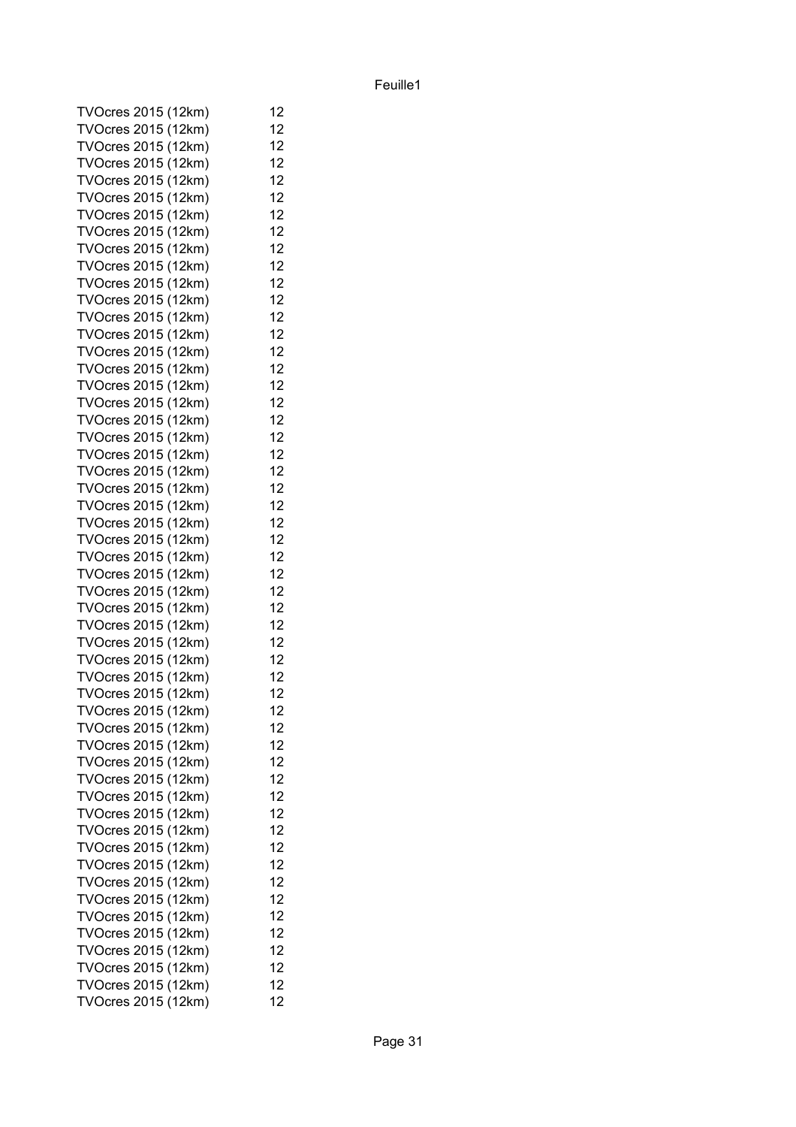| TVOcres 2015 (12km) | 12 |
|---------------------|----|
| TVOcres 2015 (12km) | 12 |
| TVOcres 2015 (12km) | 12 |
| TVOcres 2015 (12km) | 12 |
| TVOcres 2015 (12km) | 12 |
| TVOcres 2015 (12km) | 12 |
| TVOcres 2015 (12km) | 12 |
|                     | 12 |
| TVOcres 2015 (12km) | 12 |
| TVOcres 2015 (12km) |    |
| TVOcres 2015 (12km) | 12 |
| TVOcres 2015 (12km) | 12 |
| TVOcres 2015 (12km) | 12 |
| TVOcres 2015 (12km) | 12 |
| TVOcres 2015 (12km) | 12 |
| TVOcres 2015 (12km) | 12 |
| TVOcres 2015 (12km) | 12 |
| TVOcres 2015 (12km) | 12 |
| TVOcres 2015 (12km) | 12 |
| TVOcres 2015 (12km) | 12 |
| TVOcres 2015 (12km) | 12 |
| TVOcres 2015 (12km) | 12 |
| TVOcres 2015 (12km) | 12 |
| TVOcres 2015 (12km) | 12 |
| TVOcres 2015 (12km) | 12 |
| TVOcres 2015 (12km) | 12 |
| TVOcres 2015 (12km) | 12 |
|                     |    |
| TVOcres 2015 (12km) | 12 |
| TVOcres 2015 (12km) | 12 |
| TVOcres 2015 (12km) | 12 |
| TVOcres 2015 (12km) | 12 |
| TVOcres 2015 (12km) | 12 |
| TVOcres 2015 (12km) | 12 |
| TVOcres 2015 (12km) | 12 |
| TVOcres 2015 (12km) | 12 |
| TVOcres 2015 (12km) | 12 |
| TVOcres 2015 (12km) | 12 |
| TVOcres 2015 (12km) | 12 |
| TVOcres 2015 (12km) | 12 |
| TVOcres 2015 (12km) | 12 |
| TVOcres 2015 (12km) | 12 |
| TVOcres 2015 (12km) | 12 |
| TVOcres 2015 (12km) | 12 |
| TVOcres 2015 (12km) | 12 |
| TVOcres 2015 (12km) | 12 |
| TVOcres 2015 (12km) | 12 |
|                     | 12 |
| TVOcres 2015 (12km) |    |
| TVOcres 2015 (12km) | 12 |
| TVOcres 2015 (12km) | 12 |
| TVOcres 2015 (12km) | 12 |
| TVOcres 2015 (12km) | 12 |
| TVOcres 2015 (12km) | 12 |
| TVOcres 2015 (12km) | 12 |
| TVOcres 2015 (12km) | 12 |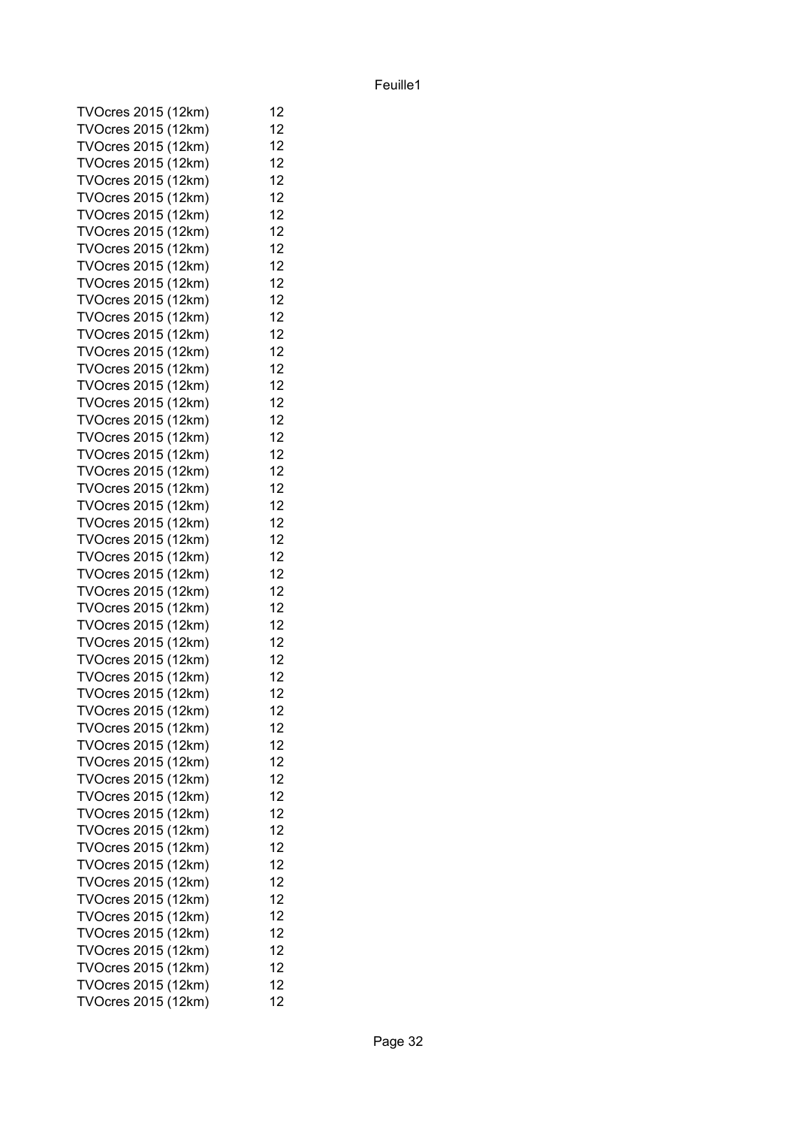| TVOcres 2015 (12km) | 12 |
|---------------------|----|
| TVOcres 2015 (12km) | 12 |
| TVOcres 2015 (12km) | 12 |
| TVOcres 2015 (12km) | 12 |
| TVOcres 2015 (12km) | 12 |
| TVOcres 2015 (12km) | 12 |
| TVOcres 2015 (12km) | 12 |
| TVOcres 2015 (12km) | 12 |
| TVOcres 2015 (12km) | 12 |
| TVOcres 2015 (12km) | 12 |
| TVOcres 2015 (12km) | 12 |
| TVOcres 2015 (12km) | 12 |
| TVOcres 2015 (12km) | 12 |
| TVOcres 2015 (12km) | 12 |
| TVOcres 2015 (12km) | 12 |
|                     | 12 |
| TVOcres 2015 (12km) | 12 |
| TVOcres 2015 (12km) |    |
| TVOcres 2015 (12km) | 12 |
| TVOcres 2015 (12km) | 12 |
| TVOcres 2015 (12km) | 12 |
| TVOcres 2015 (12km) | 12 |
| TVOcres 2015 (12km) | 12 |
| TVOcres 2015 (12km) | 12 |
| TVOcres 2015 (12km) | 12 |
| TVOcres 2015 (12km) | 12 |
| TVOcres 2015 (12km) | 12 |
| TVOcres 2015 (12km) | 12 |
| TVOcres 2015 (12km) | 12 |
| TVOcres 2015 (12km) | 12 |
| TVOcres 2015 (12km) | 12 |
| TVOcres 2015 (12km) | 12 |
| TVOcres 2015 (12km) | 12 |
| TVOcres 2015 (12km) | 12 |
| TVOcres 2015 (12km) | 12 |
| TVOcres 2015 (12km) | 12 |
| TVOcres 2015 (12km) | 12 |
| TVOcres 2015 (12km) | 12 |
| TVOcres 2015 (12km) | 12 |
| TVOcres 2015 (12km) | 12 |
| TVOcres 2015 (12km) | 12 |
| TVOcres 2015 (12km) | 12 |
| TVOcres 2015 (12km) | 12 |
| TVOcres 2015 (12km) | 12 |
| TVOcres 2015 (12km) | 12 |
| TVOcres 2015 (12km) | 12 |
| TVOcres 2015 (12km) | 12 |
| TVOcres 2015 (12km) | 12 |
| TVOcres 2015 (12km) | 12 |
|                     |    |
| TVOcres 2015 (12km) | 12 |
| TVOcres 2015 (12km) | 12 |
| TVOcres 2015 (12km) | 12 |
| TVOcres 2015 (12km) | 12 |
| TVOcres 2015 (12km) | 12 |